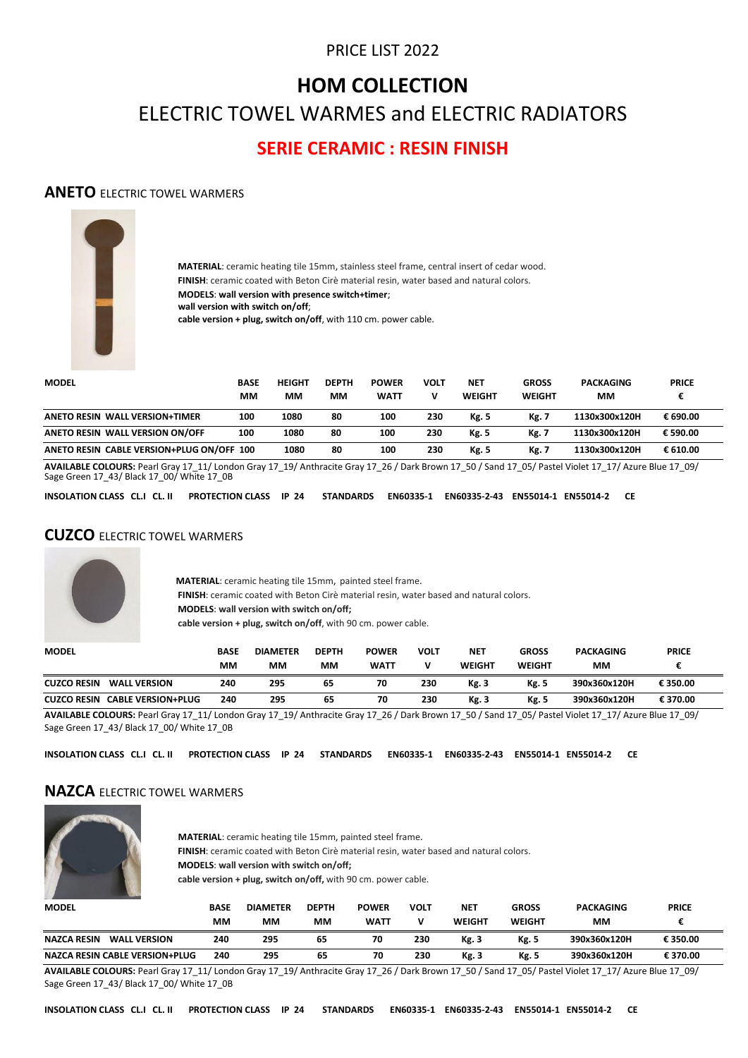# PRICE LIST 2022

# **HOM COLLECTION**

ELECTRIC TOWEL WARMES and ELECTRIC RADIATORS

# **SERIE CERAMIC : RESIN FINISH**

#### **ANETO** ELECTRIC TOWEL WARMERS



**MATERIAL**: ceramic heating tile 15mm, stainless steel frame, central insert of cedar wood. **FINISH**: ceramic coated with Beton Cirè material resin, water based and natural colors. **MODELS**: **wall version with presence switch+timer**; **wall version with switch on/off**; **cable version + plug, switch on/off**, with 110 cm. power cable.

| <b>MODEL</b>                              | <b>BASE</b><br>MМ | <b>HEIGHT</b><br>MМ | <b>DEPTH</b><br>мм | <b>POWER</b><br><b>WATT</b> | VOLT<br>v | <b>NET</b><br><b>WEIGHT</b> | <b>GROSS</b><br><b>WEIGHT</b> | <b>PACKAGING</b><br>MМ | <b>PRICE</b> |
|-------------------------------------------|-------------------|---------------------|--------------------|-----------------------------|-----------|-----------------------------|-------------------------------|------------------------|--------------|
| <b>ANETO RESIN WALL VERSION+TIMER</b>     | 100               | 1080                | 80                 | 100                         | 230       | Kg. 5                       | <b>Kg. 7</b>                  | 1130x300x120H          | € 690.00     |
| ANETO RESIN WALL VERSION ON/OFF           | 100               | 1080                | 80                 | 100                         | 230       | <b>Kg. 5</b>                | Kg. 7                         | 1130x300x120H          | € 590.00     |
| ANETO RESIN CABLE VERSION+PLUG ON/OFF 100 |                   | 1080                | 80                 | 100                         | 230       | Kg. 5                       | <b>Kg. 7</b>                  | 1130x300x120H          | € 610.00     |

**AVAILABLE COLOURS:** Pearl Gray 17\_11/ London Gray 17\_19/ Anthracite Gray 17\_26 / Dark Brown 17\_50 / Sand 17\_05/ Pastel Violet 17\_17/ Azure Blue 17\_09/<br>Sage Green 17\_43/ Black 17\_00/ White 17\_0B

**INSOLATION CLASS CL.I CL. II PROTECTION CLASS IP 24 STANDARDS EN60335-1 EN60335-2-43 EN55014-1 EN55014-2 CE**

#### **CUZCO** ELECTRIC TOWEL WARMERS



 **MATERIAL**: ceramic heating tile 15mm, painted steel frame. **FINISH**: ceramic coated with Beton Cirè material resin, water based and natural colors. **MODELS**: **wall version with switch on/off; cable version + plug, switch on/off**, with 90 cm. power cable.

| <b>MODEL</b>                                    | BASE<br>ΜМ | <b>DIAMETER</b><br>MМ | <b>DEPTH</b><br>мм | <b>POWER</b><br><b>WATT</b> | VOLT | <b>NET</b><br><b>WEIGHT</b> | <b>GROSS</b><br>WEIGHT | <b>PACKAGING</b><br>MМ | <b>PRICE</b> |
|-------------------------------------------------|------------|-----------------------|--------------------|-----------------------------|------|-----------------------------|------------------------|------------------------|--------------|
| <b>CUZCO RESIN</b><br><b>WALL VERSION</b>       | 240        | 295                   | 65                 | 70                          | 230  | Kg. 3                       | Kg. 5                  | 390x360x120H           | € 350.00     |
| <b>CABLE VERSION+PLUG</b><br><b>CUZCO RESIN</b> | 240        | 295                   | 65                 | 70                          | 230  | Kg. 3                       | <b>Kg. 5</b>           | 390x360x120H           | € 370.00     |

**AVAILABLE COLOURS:** Pearl Gray 17\_11/ London Gray 17\_19/ Anthracite Gray 17\_26 / Dark Brown 17\_50 / Sand 17\_05/ Pastel Violet 17\_17/ Azure Blue 17\_09/ Sage Green 17\_43/ Black 17\_00/ White 17\_0B

**INSOLATION CLASS CL.I CL. II PROTECTION CLASS IP 24 STANDARDS EN60335-1 EN60335-2-43 EN55014-1 EN55014-2 CE**

#### **NAZCA** ELECTRIC TOWEL WARMERS



 **MATERIAL**: ceramic heating tile 15mm, painted steel frame. **FINISH**: ceramic coated with Beton Cirè material resin, water based and natural colors. **MODELS**: **wall version with switch on/off; cable version + plug, switch on/off,** with 90 cm. power cable.

| <b>MODEL</b>                              | BASE<br>MМ | <b>DIAMETER</b><br>мм | <b>DEPTH</b><br>мм | <b>POWER</b><br><b>WATT</b> | <b>VOLT</b> | <b>NET</b><br>WEIGHT | <b>GROSS</b><br><b>WEIGHT</b> | <b>PACKAGING</b><br>мм | <b>PRICE</b> |
|-------------------------------------------|------------|-----------------------|--------------------|-----------------------------|-------------|----------------------|-------------------------------|------------------------|--------------|
| <b>NAZCA RESIN</b><br><b>WALL VERSION</b> | 240        | 295                   | 65                 | 70                          | 230         | Kg. 3                | Kg. 5                         | 390x360x120H           | € 350.00     |
| <b>NAZCA RESIN CABLE VERSION+PLUG</b>     | 240        | 295                   | 65                 | 70                          | 230         | Kg. 3                | Kg. 5                         | 390x360x120H           | € 370.00     |

**AVAILABLE COLOURS:** Pearl Gray 17\_11/ London Gray 17\_19/ Anthracite Gray 17\_26 / Dark Brown 17\_50 / Sand 17\_05/ Pastel Violet 17\_17/ Azure Blue 17\_09/ Sage Green 17\_43/ Black 17\_00/ White 17\_0B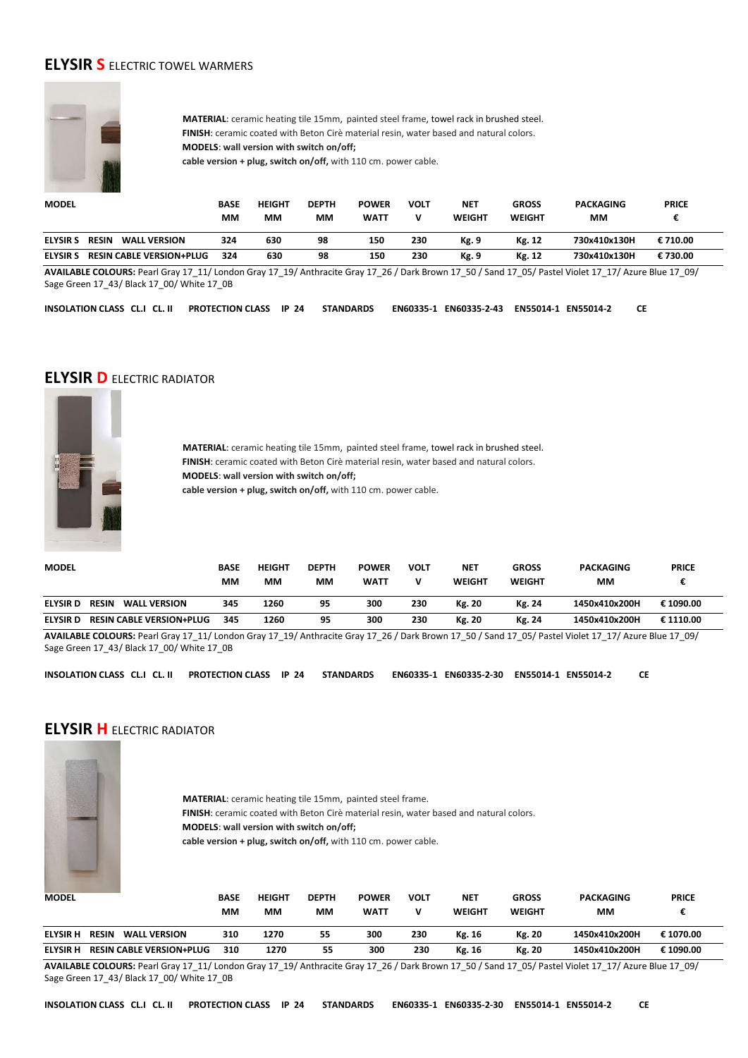### **ELYSIR S** ELECTRIC TOWEL WARMERS



 **MATERIAL**: ceramic heating tile 15mm, painted steel frame, towel rack in brushed steel.  **FINISH**: ceramic coated with Beton Cirè material resin, water based and natural colors.  **MODELS**: **wall version with switch on/off; cable version + plug, switch on/off,** with 110 cm. power cable.

| <b>MODEL</b>    |                                     | BASE<br>ΜМ | <b>HEIGHT</b><br>MМ | <b>DEPTH</b><br>ΜМ | <b>POWER</b><br><b>WATT</b> | VOLT | <b>NET</b><br>WEIGHT | <b>GROSS</b><br><b>WEIGHT</b> | <b>PACKAGING</b><br>мм | <b>PRICE</b> |  |
|-----------------|-------------------------------------|------------|---------------------|--------------------|-----------------------------|------|----------------------|-------------------------------|------------------------|--------------|--|
| <b>ELYSIR S</b> | <b>RESIN</b><br><b>WALL VERSION</b> | 324        | 630                 | 98                 | 150                         | 230  | Kg. 9                | Kg. 12                        | 730x410x130H           | € 710.00     |  |
| <b>ELYSIR S</b> | <b>RESIN CABLE VERSION+PLUG</b>     | 324        | 630                 | 98                 | 150                         | 230  | Kg. 9                | Kg. 12                        | 730x410x130H           | €730.00      |  |

**AVAILABLE COLOURS:** Pearl Gray 17\_11/ London Gray 17\_19/ Anthracite Gray 17\_26 / Dark Brown 17\_50 / Sand 17\_05/ Pastel Violet 17\_17/ Azure Blue 17\_09/ Sage Green 17\_43/ Black 17\_00/ White 17\_0B

**INSOLATION CLASS CL.I CL. II PROTECTION CLASS IP 24 STANDARDS EN60335-1 EN60335-2-43 EN55014-1 EN55014-2 CE**

#### **ELYSIR D** ELECTRIC RADIATOR



 **MATERIAL**: ceramic heating tile 15mm, painted steel frame, towel rack in brushed steel.  **FINISH**: ceramic coated with Beton Cirè material resin, water based and natural colors.  **MODELS**: **wall version with switch on/off; cable version + plug, switch on/off,** with 110 cm. power cable.

| <b>MODEL</b>    |                                     | <b>BASE</b> | <b>HEIGHT</b> | <b>DEPTH</b> | <b>POWER</b> | VOLT | <b>NET</b>    | <b>GROSS</b>  | <b>PACKAGING</b> | <b>PRICE</b> |  |
|-----------------|-------------------------------------|-------------|---------------|--------------|--------------|------|---------------|---------------|------------------|--------------|--|
|                 |                                     | MМ          | ΜМ            | ΜМ           | <b>WATT</b>  |      | <b>WEIGHT</b> | <b>WEIGHT</b> | ΜМ               |              |  |
| <b>ELYSIR D</b> | <b>RESIN</b><br><b>WALL VERSION</b> | 345         | 1260          | 95           | 300          | 230  | Kg. 20        | Kg. 24        | 1450x410x200H    | € 1090.00    |  |
| <b>ELYSIRD</b>  | <b>RESIN CABLE VERSION+PLUG</b>     | 345         | 1260          | 95           | 300          | 230  | Kg. 20        | Kg. 24        | 1450x410x200H    | € 1110.00    |  |

**AVAILABLE COLOURS:** Pearl Gray 17\_11/ London Gray 17\_19/ Anthracite Gray 17\_26 / Dark Brown 17\_50 / Sand 17\_05/ Pastel Violet 17\_17/ Azure Blue 17\_09/ Sage Green 17\_43/ Black 17\_00/ White 17\_0B

**INSOLATION CLASS CL.I CL. II PROTECTION CLASS IP 24 STANDARDS EN60335-1 EN60335-2-30 EN55014-1 EN55014-2 CE** 

#### **ELYSIR H** ELECTRIC RADIATOR



 **MATERIAL**: ceramic heating tile 15mm, painted steel frame.  **FINISH**: ceramic coated with Beton Cirè material resin, water based and natural colors.  **MODELS**: **wall version with switch on/off; cable version + plug, switch on/off,** with 110 cm. power cable.

| <b>MODEL</b>    |                                     | <b>BASE</b><br>мм | <b>HEIGHT</b><br>мм | <b>DEPTH</b><br>мм | <b>POWER</b><br><b>WATT</b> | VOLT | <b>NET</b><br><b>WEIGHT</b> | <b>GROSS</b><br><b>WEIGHT</b> | <b>PACKAGING</b><br>мм | <b>PRICE</b> |
|-----------------|-------------------------------------|-------------------|---------------------|--------------------|-----------------------------|------|-----------------------------|-------------------------------|------------------------|--------------|
| <b>ELYSIR H</b> | <b>RESIN</b><br><b>WALL VERSION</b> | 310               | 1270                | 55                 | 300                         | 230  | Kg. 16                      | Kg. 20                        | 1450x410x200H          | € 1070.00    |
| <b>ELYSIR H</b> | <b>RESIN CABLE VERSION+PLUG</b>     | 310               | 1270                | 55                 | 300                         | 230  | Kg. 16                      | Kg. 20                        | 1450x410x200H          | € 1090.00    |

**AVAILABLE COLOURS:** Pearl Gray 17\_11/ London Gray 17\_19/ Anthracite Gray 17\_26 / Dark Brown 17\_50 / Sand 17\_05/ Pastel Violet 17\_17/ Azure Blue 17\_09/ Sage Green 17\_43/ Black 17\_00/ White 17\_0B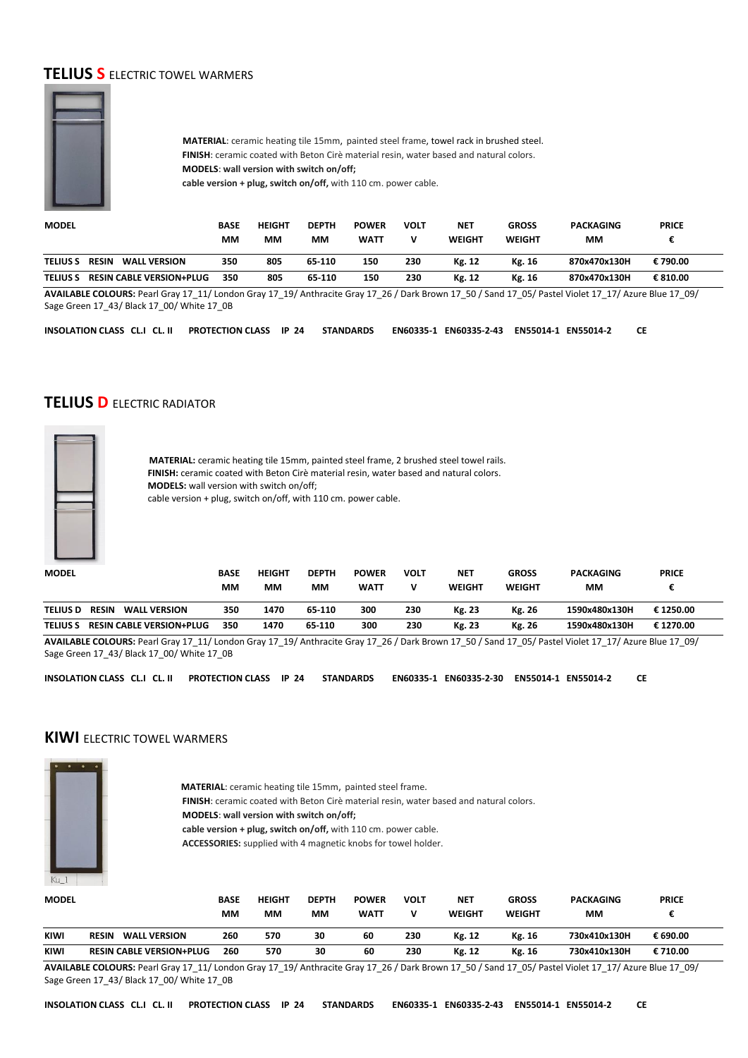# **TELIUS S** ELECTRIC TOWEL WARMERS



 **MATERIAL**: ceramic heating tile 15mm, painted steel frame, towel rack in brushed steel.  **FINISH**: ceramic coated with Beton Cirè material resin, water based and natural colors.  **MODELS**: **wall version with switch on/off; cable version + plug, switch on/off,** with 110 cm. power cable.

| <b>MODEL</b>    |                                     | <b>BASE</b><br>MМ | <b>HEIGHT</b><br>MМ | <b>DEPTH</b><br>MМ | <b>POWER</b><br><b>WATT</b> | VOLT | NET<br>WEIGHT | <b>GROSS</b><br><b>WEIGHT</b> | <b>PACKAGING</b><br>MМ | <b>PRICE</b> |  |
|-----------------|-------------------------------------|-------------------|---------------------|--------------------|-----------------------------|------|---------------|-------------------------------|------------------------|--------------|--|
| <b>TELIUS S</b> | <b>RESIN</b><br><b>WALL VERSION</b> | 350               | 805                 | 65-110             | 150                         | 230  | Kg. 12        | Kg. 16                        | 870x470x130H           | € 790.00     |  |
| <b>TELIUS S</b> | <b>RESIN CABLE VERSION+PLUG</b>     | 350               | 805                 | 65-110             | 150                         | 230  | Kg. 12        | Kg. 16                        | 870x470x130H           | € 810.00     |  |

**AVAILABLE COLOURS:** Pearl Gray 17\_11/ London Gray 17\_19/ Anthracite Gray 17\_26 / Dark Brown 17\_50 / Sand 17\_05/ Pastel Violet 17\_17/ Azure Blue 17\_09/ Sage Green 17\_43/ Black 17\_00/ White 17\_0B

**INSOLATION CLASS CL.I CL. II PROTECTION CLASS IP 24 STANDARDS EN60335-1 EN60335-2-43 EN55014-1 EN55014-2 CE**

#### **TELIUS D** ELECTRIC RADIATOR



 **MATERIAL:** ceramic heating tile 15mm, painted steel frame, 2 brushed steel towel rails.  **FINISH:** ceramic coated with Beton Cirè material resin, water based and natural colors.  **MODELS:** wall version with switch on/off; cable version + plug, switch on/off, with 110 cm. power cable.

| <b>MODEL</b>    |                                     | <b>BASE</b> | HEIGHT | <b>DEPTH</b> | <b>POWER</b> | VOLT | <b>NET</b> | <b>GROSS</b>  | <b>PACKAGING</b> | <b>PRICE</b> |  |
|-----------------|-------------------------------------|-------------|--------|--------------|--------------|------|------------|---------------|------------------|--------------|--|
|                 |                                     | MМ          | ΜМ     | МM           | <b>WATT</b>  |      | WEIGHT     | <b>WEIGHT</b> | MМ               |              |  |
| <b>TELIUS D</b> | <b>RESIN</b><br><b>WALL VERSION</b> | 350         | 1470   | 65-110       | 300          | 230  | Kg. 23     | Kg. 26        | 1590x480x130H    | €1250.00     |  |
| <b>TELIUS S</b> | <b>RESIN CABLE VERSION+PLUG</b>     | 350         | 1470   | 65-110       | 300          | 230  | Kg. 23     | Kg. 26        | 1590x480x130H    | € 1270.00    |  |

**AVAILABLE COLOURS:** Pearl Gray 17\_11/ London Gray 17\_19/ Anthracite Gray 17\_26 / Dark Brown 17\_50 / Sand 17\_05/ Pastel Violet 17\_17/ Azure Blue 17\_09/ Sage Green 17\_43/ Black 17\_00/ White 17\_0B

**INSOLATION CLASS CL.I CL. II PROTECTION CLASS IP 24 STANDARDS EN60335-1 EN60335-2-30 EN55014-1 EN55014-2 CE**

#### **KIWI** ELECTRIC TOWEL WARMERS



 **MATERIAL**: ceramic heating tile 15mm, painted steel frame.

 **FINISH**: ceramic coated with Beton Cirè material resin, water based and natural colors.

 **MODELS**: **wall version with switch on/off;**

 **cable version + plug, switch on/off,** with 110 cm. power cable.

 **ACCESSORIES:** supplied with 4 magnetic knobs for towel holder.

| <b>MODEL</b> |                                     | <b>BASE</b> | <b>HEIGHT</b> | <b>DEPTH</b> | <b>POWER</b> | <b>VOLT</b> | <b>NET</b> | <b>GROSS</b>  | <b>PACKAGING</b> | <b>PRICE</b> |  |
|--------------|-------------------------------------|-------------|---------------|--------------|--------------|-------------|------------|---------------|------------------|--------------|--|
|              |                                     | ΜМ          | ΜМ            | MМ           | <b>WATT</b>  |             | WEIGHT     | <b>WEIGHT</b> | мм               |              |  |
| <b>KIWI</b>  | <b>WALL VERSION</b><br><b>RESIN</b> | 260         | 570           | 30           | 60           | 230         | Kg. 12     | Kg. 16        | 730x410x130H     | € 690.00     |  |
| <b>KIWI</b>  | <b>RESIN CABLE VERSION+PLUG</b>     | 260         | 570           | 30           | 60           | 230         | Kg. 12     | Kg. 16        | 730x410x130H     | € 710.00     |  |

**AVAILABLE COLOURS:** Pearl Gray 17\_11/ London Gray 17\_19/ Anthracite Gray 17\_26 / Dark Brown 17\_50 / Sand 17\_05/ Pastel Violet 17\_17/ Azure Blue 17\_09/ Sage Green 17\_43/ Black 17\_00/ White 17\_0B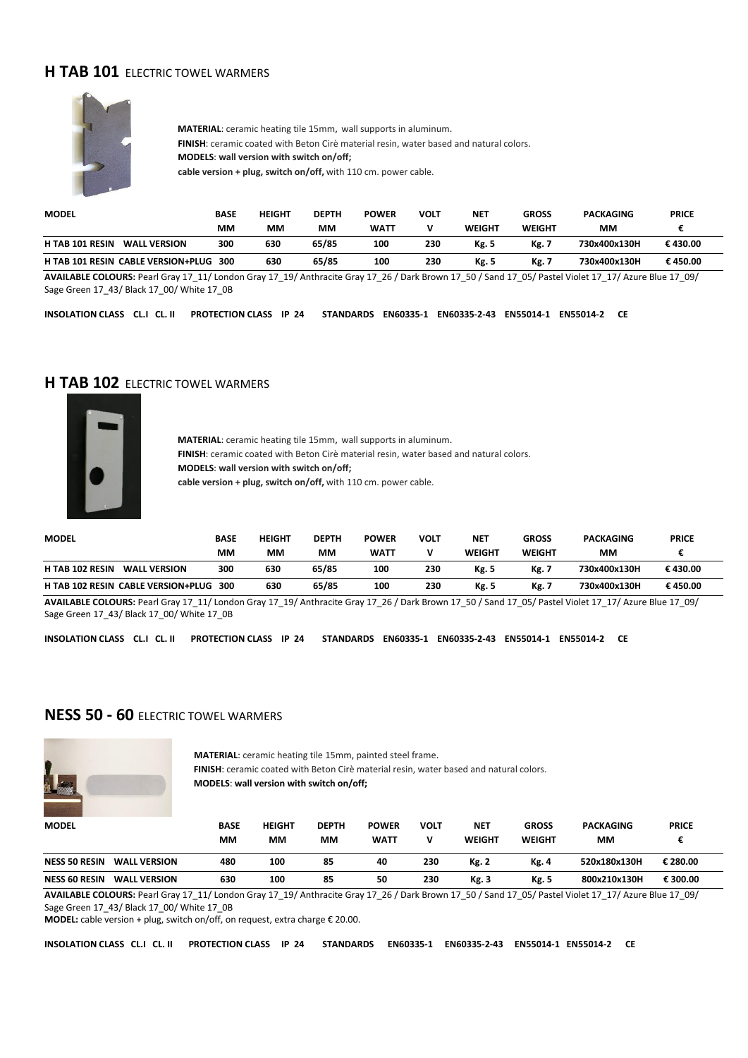### **H TAB 101 ELECTRIC TOWEL WARMERS**



**MATERIAL**: ceramic heating tile 15mm, wall supports in aluminum. **FINISH**: ceramic coated with Beton Cirè material resin, water based and natural colors. **MODELS**: **wall version with switch on/off; cable version + plug, switch on/off,** with 110 cm. power cable.

| <b>MODEL</b>                                  | <b>BASE</b> | <b>HEIGHT</b> | <b>DEPTH</b> | <b>POWER</b> | VOLT | <b>NET</b>    | <b>GROSS</b>  | <b>PACKAGING</b> | <b>PRICE</b> |
|-----------------------------------------------|-------------|---------------|--------------|--------------|------|---------------|---------------|------------------|--------------|
|                                               | MМ          | мм            | MМ           | <b>WATT</b>  |      | <b>WEIGHT</b> | <b>WEIGHT</b> | MМ               |              |
| <b>WALL VERSION</b><br><b>H TAB 101 RESIN</b> | 300         | 630           | 65/85        | 100          | 230  | <b>Kg. 5</b>  | Kg. 7         | 730x400x130H     | € 430.00     |
| H TAB 101 RESIN CABLE VERSION+PLUG 300        |             | 630           | 65/85        | 100          | 230  | Kg. 5         | Kg. .         | 730x400x130H     | €450.00      |

**AVAILABLE COLOURS:** Pearl Gray 17\_11/ London Gray 17\_19/ Anthracite Gray 17\_26 / Dark Brown 17\_50 / Sand 17\_05/ Pastel Violet 17\_17/ Azure Blue 17\_09/ Sage Green 17\_43/ Black 17\_00/ White 17\_0B

**INSOLATION CLASS CL.I CL. II PROTECTION CLASS IP 24 STANDARDS EN60335-1 EN60335-2-43 EN55014-1 EN55014-2 CE**

#### **H TAB 102** ELECTRIC TOWEL WARMERS



**MATERIAL**: ceramic heating tile 15mm, wall supports in aluminum. **FINISH**: ceramic coated with Beton Cirè material resin, water based and natural colors. **MODELS**: **wall version with switch on/off; cable version + plug, switch on/off,** with 110 cm. power cable.

| <b>MODEL</b>                                  | BASE | <b>HEIGHT</b> | <b>DEPTH</b> | <b>POWER</b> | VOLT | <b>NET</b>   | <b>GROSS</b> | <b>PACKAGING</b> | <b>PRICE</b> |
|-----------------------------------------------|------|---------------|--------------|--------------|------|--------------|--------------|------------------|--------------|
|                                               | мм   | мм            | MМ           | <b>WATT</b>  |      | WEIGHT       | WEIGHT       | MМ               |              |
| <b>H TAB 102 RESIN</b><br><b>WALL VERSION</b> | 300  | 630           | 65/85        | 100          | 230  | <b>Kg. 5</b> | Kg.          | 730x400x130H     | € 430.00     |
| H TAB 102 RESIN CABLE VERSION+PLUG            | 300  | 630           | 65/85        | 100          | 230  | Kg. 5        | Kg.          | 730x400x130H     | € 450.00     |

**AVAILABLE COLOURS:** Pearl Gray 17\_11/ London Gray 17\_19/ Anthracite Gray 17\_26 / Dark Brown 17\_50 / Sand 17\_05/ Pastel Violet 17\_17/ Azure Blue 17\_09/ Sage Green 17\_43/ Black 17\_00/ White 17\_0B

**INSOLATION CLASS CL.I CL. II PROTECTION CLASS IP 24 STANDARDS EN60335-1 EN60335-2-43 EN55014-1 EN55014-2 CE**

# **NESS 50 - 60** ELECTRIC TOWEL WARMERS



 **MATERIAL**: ceramic heating tile 15mm, painted steel frame.  **FINISH**: ceramic coated with Beton Cirè material resin, water based and natural colors.  **MODELS**: **wall version with switch on/off;**

| <b>MODEL</b>         |                     | <b>BASE</b><br>MМ | <b>HEIGHT</b><br>MМ | <b>DEPTH</b><br>MМ | <b>POWER</b><br><b>WATT</b> | VOLT | <b>NET</b><br><b>WEIGHT</b> | <b>GROSS</b><br>WEIGHT | <b>PACKAGING</b><br>MМ | <b>PRICE</b> |  |
|----------------------|---------------------|-------------------|---------------------|--------------------|-----------------------------|------|-----------------------------|------------------------|------------------------|--------------|--|
| <b>NESS 50 RESIN</b> | <b>WALL VERSION</b> | 480               | 100                 | 85                 | 40                          | 230  | <b>Kg. 2</b>                | Kg. 4                  | 520x180x130H           | € 280.00     |  |
| <b>NESS 60 RESIN</b> | <b>WALL VERSION</b> | 630               | 100                 | 85                 | 50                          | 230  | Kg. 3                       | Kg. 5                  | 800x210x130H           | € 300.00     |  |

**AVAILABLE COLOURS:** Pearl Gray 17\_11/ London Gray 17\_19/ Anthracite Gray 17\_26 / Dark Brown 17\_50 / Sand 17\_05/ Pastel Violet 17\_17/ Azure Blue 17\_09/ Sage Green 17\_43/ Black 17\_00/ White 17\_0B

**MODEL:** cable version + plug, switch on/off, on request, extra charge € 20.00.

**INSOLATION CLASS CL.I CL. II PROTECTION CLASS IP 24 STANDARDS EN60335-1 EN60335-2-43 EN55014-1 EN55014-2 CE**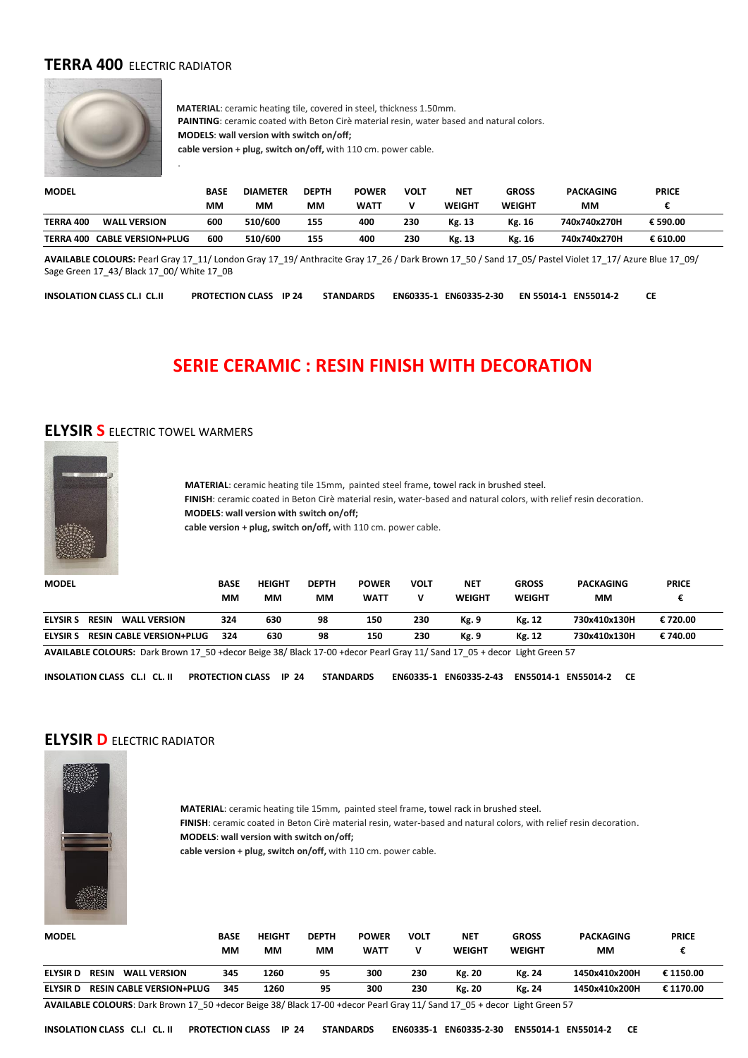#### **TERRA 400** ELECTRIC RADIATOR

.



 **MATERIAL**: ceramic heating tile, covered in steel, thickness 1.50mm. **PAINTING**: ceramic coated with Beton Cirè material resin, water based and natural colors. **MODELS**: **wall version with switch on/off; cable version + plug, switch on/off,** with 110 cm. power cable.

| <b>MODEL</b>     |                           | <b>BASE</b> | <b>DIAMETER</b> | <b>DEPTH</b> | <b>POWER</b> | VOLT | <b>NET</b>    | <b>GROSS</b>  | <b>PACKAGING</b> | <b>PRICE</b> |
|------------------|---------------------------|-------------|-----------------|--------------|--------------|------|---------------|---------------|------------------|--------------|
|                  |                           | мм          | ΜМ              | мм           | <b>WATT</b>  |      | <b>WEIGHT</b> | <b>WEIGHT</b> | ΜМ               |              |
| <b>TERRA 400</b> | <b>WALL VERSION</b>       | 600         | 510/600         | 155          | 400          | 230  | Kg. 13        | Kg. 16        | 740x740x270H     | € 590.00     |
| TERRA 400        | <b>CABLE VERSION+PLUG</b> | 600         | 510/600         | 155          | 400          | 230  | Kg. 13        | Kg. 16        | 740x740x270H     | € 610.00     |

**AVAILABLE COLOURS:** Pearl Gray 17\_11/ London Gray 17\_19/ Anthracite Gray 17\_26 / Dark Brown 17\_50 / Sand 17\_05/ Pastel Violet 17\_17/ Azure Blue 17\_09/ Sage Green 17\_43/ Black 17\_00/ White 17\_0B

**INSOLATION CLASS CL.I CL.II PROTECTION CLASS IP 24 STANDARDS EN60335-1 EN60335-2-30 EN 55014-1 EN55014-2 CE**

# **SERIE CERAMIC : RESIN FINISH WITH DECORATION**

#### **ELYSIR S** ELECTRIC TOWEL WARMERS



 **MATERIAL**: ceramic heating tile 15mm, painted steel frame, towel rack in brushed steel.  **FINISH**: ceramic coated in Beton Cirè material resin, water-based and natural colors, with relief resin decoration.  **MODELS**: **wall version with switch on/off;**

 **cable version + plug, switch on/off,** with 110 cm. power cable.

| <b>MODEL</b>    |                                     | <b>BASE</b><br>MМ | <b>HEIGHT</b><br>ΜМ | <b>DEPTH</b><br>MМ | <b>POWER</b><br><b>WATT</b> | VOLT | <b>NET</b><br><b>WEIGHT</b> | <b>GROSS</b><br><b>WEIGHT</b> | <b>PACKAGING</b><br>ΜМ | <b>PRICE</b> |  |
|-----------------|-------------------------------------|-------------------|---------------------|--------------------|-----------------------------|------|-----------------------------|-------------------------------|------------------------|--------------|--|
| <b>ELYSIR S</b> | <b>RESIN</b><br><b>WALL VERSION</b> | 324               | 630                 | 98                 | 150                         | 230  | Kg. 9                       | Kg. 12                        | 730x410x130H           | € 720.00     |  |
| <b>ELYSIR S</b> | <b>RESIN CABLE VERSION+PLUG</b>     | 324               | 630                 | 98                 | 150                         | 230  | Kg. 9                       | Kg. 12                        | 730x410x130H           | € 740.00     |  |

**AVAILABLE COLOURS:** Dark Brown 17\_50 +decor Beige 38/ Black 17-00 +decor Pearl Gray 11/ Sand 17\_05 + decor Light Green 57

**INSOLATION CLASS CL.I CL. II PROTECTION CLASS IP 24 STANDARDS EN60335-1 EN60335-2-43 EN55014-1 EN55014-2 CE**

# **ELYSIR D** ELECTRIC RADIATOR



 **MATERIAL**: ceramic heating tile 15mm, painted steel frame, towel rack in brushed steel. **FINISH**: ceramic coated in Beton Cirè material resin, water-based and natural colors, with relief resin decoration. **MODELS**: **wall version with switch on/off;**

**cable version + plug, switch on/off,** with 110 cm. power cable.

| <b>MODEL</b>    |                                     | <b>BASE</b><br>MМ | <b>HEIGHT</b><br>ΜМ | <b>DEPTH</b><br>МM | <b>POWER</b><br><b>WATT</b> | VOLT | <b>NET</b><br>WEIGHT | <b>GROSS</b><br><b>WEIGHT</b> | PACKAGING<br>MМ | <b>PRICE</b> |
|-----------------|-------------------------------------|-------------------|---------------------|--------------------|-----------------------------|------|----------------------|-------------------------------|-----------------|--------------|
| <b>ELYSIR D</b> | <b>RESIN</b><br><b>WALL VERSION</b> | 345               | 1260                | 95                 | 300                         | 230  | Kg. 20               | Kg. 24                        | 1450x410x200H   | € 1150.00    |
| <b>ELYSIR D</b> | <b>RESIN CABLE VERSION+PLUG</b>     | 345               | 1260                | 95                 | 300                         | 230  | Kg. 20               | Kg. 24                        | 1450x410x200H   | € 1170.00    |

**AVAILABLE COLOURS**: Dark Brown 17\_50 +decor Beige 38/ Black 17-00 +decor Pearl Gray 11/ Sand 17\_05 + decor Light Green 57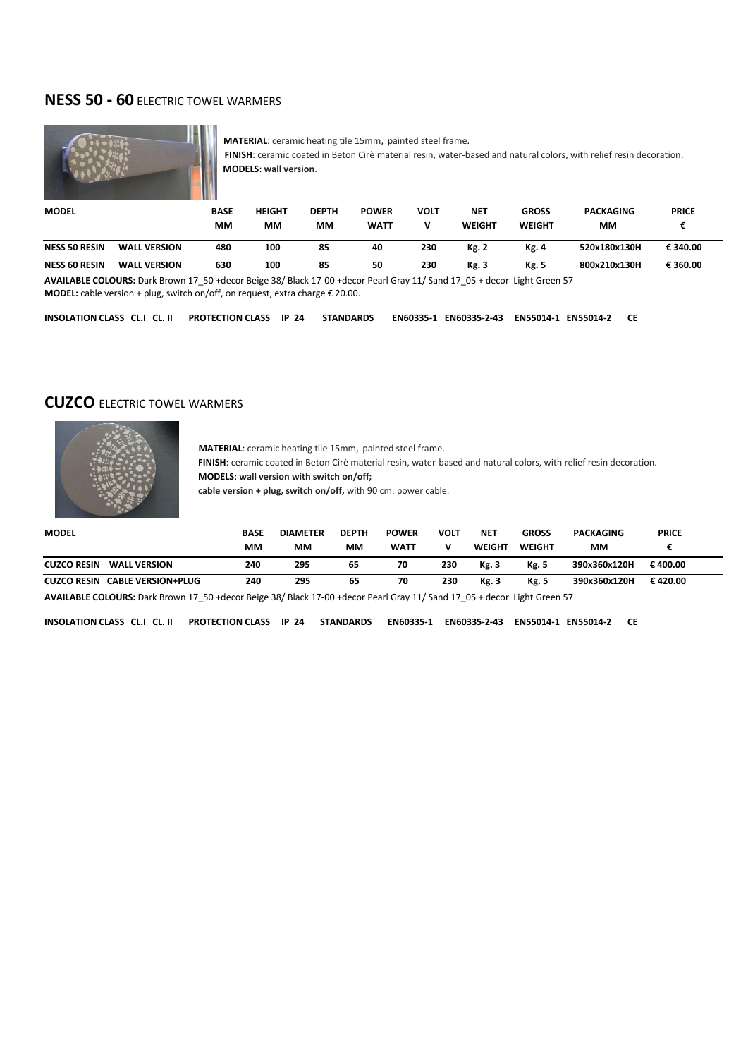#### **NESS 50 - 60** ELECTRIC TOWEL WARMERS



 **MATERIAL**: ceramic heating tile 15mm, painted steel frame.  **FINISH**: ceramic coated in Beton Cirè material resin, water-based and natural colors, with relief resin decoration.  **MODELS**: **wall version**.

| <b>MODEL</b>         |                     | BASE | <b>HEIGHT</b> | <b>DEPTH</b> | <b>POWER</b> | VOLT | <b>NET</b>    | <b>GROSS</b> | <b>PACKAGING</b> | <b>PRICE</b> |
|----------------------|---------------------|------|---------------|--------------|--------------|------|---------------|--------------|------------------|--------------|
|                      |                     | MМ   | МM            | MМ           | <b>WATT</b>  | v    | <b>WEIGHT</b> | WEIGHT       | MМ               |              |
| <b>NESS 50 RESIN</b> | <b>WALL VERSION</b> | 480  | 100           | 85           | 40           | 230  | Kg. 2         | Kg. 4        | 520x180x130H     | € 340.00     |
| <b>NESS 60 RESIN</b> | <b>WALL VERSION</b> | 630  | 100           | 85           | 50           | 230  | Kg. 3         | Kg. 5        | 800x210x130H     | € 360.00     |

**AVAILABLE COLOURS:** Dark Brown 17\_50 +decor Beige 38/ Black 17-00 +decor Pearl Gray 11/ Sand 17\_05 + decor Light Green 57 **MODEL:** cable version + plug, switch on/off, on request, extra charge € 20.00.

**INSOLATION CLASS CL.I CL. II PROTECTION CLASS IP 24 STANDARDS EN60335-1 EN60335-2-43 EN55014-1 EN55014-2 CE**

#### **CUZCO** ELECTRIC TOWEL WARMERS



 **MATERIAL**: ceramic heating tile 15mm, painted steel frame.  **FINISH**: ceramic coated in Beton Cirè material resin, water-based and natural colors, with relief resin decoration.

 **MODELS**: **wall version with switch on/off;**

 **cable version + plug, switch on/off,** with 90 cm. power cable.

| <b>MODEL</b>                                    | <b>BASE</b> | <b>DIAMETER</b> | <b>DEPTH</b> | <b>POWER</b> | VOLT | <b>NET</b>    | <b>GROSS</b>  | <b>PACKAGING</b> | <b>PRICE</b> |
|-------------------------------------------------|-------------|-----------------|--------------|--------------|------|---------------|---------------|------------------|--------------|
|                                                 | мм          | мм              | MМ           | <b>WATT</b>  | v    | <b>WEIGHT</b> | <b>WEIGHT</b> | мм               |              |
| <b>CUZCO RESIN</b><br><b>WALL VERSION</b>       | 240         | 295             | 65           | 70           | 230  | Kg. 3         | Kg. 5         | 390x360x120H     | € 400.00     |
| <b>CABLE VERSION+PLUG</b><br><b>CUZCO RESIN</b> | 240         | 295             | 65           | 70           | 230  | Kg. 3         | Kg. 5         | 390x360x120H     | € 420.00     |

**AVAILABLE COLOURS:** Dark Brown 17\_50 +decor Beige 38/ Black 17-00 +decor Pearl Gray 11/ Sand 17\_05 + decor Light Green 57

**INSOLATION CLASS CL.I CL. II PROTECTION CLASS IP 24 STANDARDS EN60335-1 EN60335-2-43 EN55014-1 EN55014-2 CE**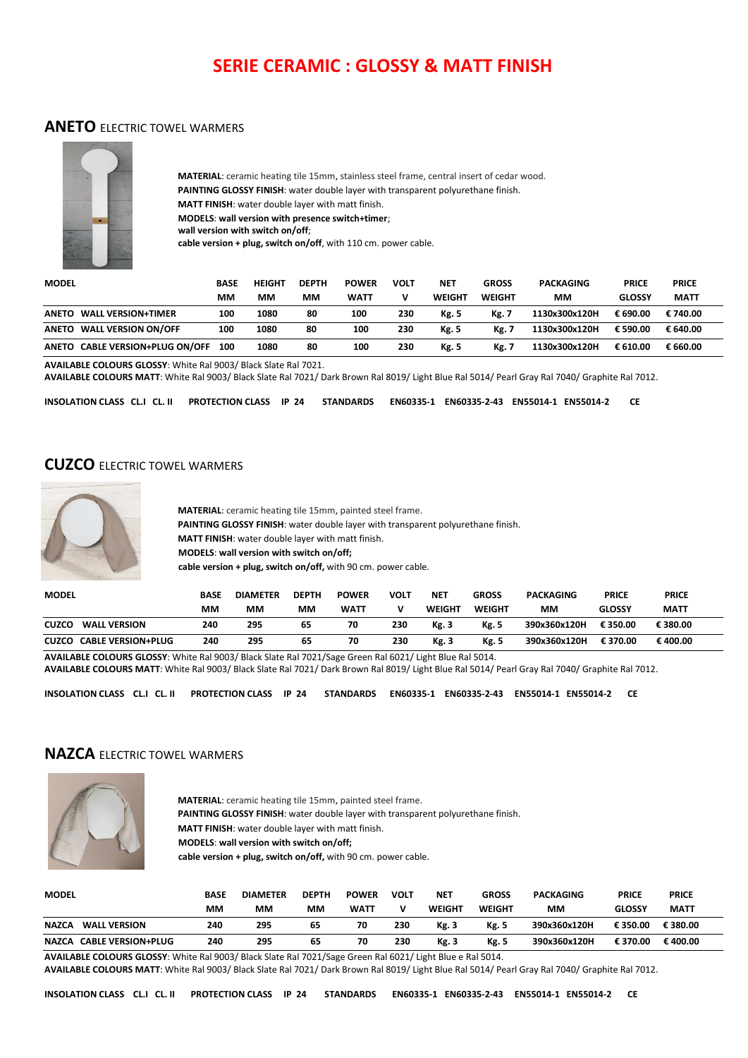# **SERIE CERAMIC : GLOSSY & MATT FINISH**

#### **ANETO** ELECTRIC TOWEL WARMERS



**MATERIAL**: ceramic heating tile 15mm, stainless steel frame, central insert of cedar wood. **PAINTING GLOSSY FINISH**: water double layer with transparent polyurethane finish. **MATT FINISH**: water double layer with matt finish. **MODELS**: **wall version with presence switch+timer**; **wall version with switch on/off**; **cable version + plug, switch on/off**, with 110 cm. power cable.

| <b>MODEL</b>                    | BASE | <b>HEIGHT</b> | <b>DEPTH</b> | <b>POWER</b> | <b>VOLT</b> | <b>NET</b>    | <b>GROSS</b>  | <b>PACKAGING</b> | <b>PRICE</b>  | <b>PRICE</b> |
|---------------------------------|------|---------------|--------------|--------------|-------------|---------------|---------------|------------------|---------------|--------------|
|                                 | ΜМ   | ΜМ            | MМ           | <b>WATT</b>  |             | <b>WEIGHT</b> | <b>WEIGHT</b> | ΜМ               | <b>GLOSSY</b> | <b>MATT</b>  |
| ANETO WALL VERSION+TIMER        | 100  | 1080          | 80           | 100          | 230         | <b>Kg. 5</b>  | <b>Kg.7</b>   | 1130x300x120H    | € 690.00      | € 740.00     |
| ANETO WALL VERSION ON/OFF       | 100  | 1080          | 80           | 100          | 230         | <b>Kg. 5</b>  | <b>Kg. 7</b>  | 1130x300x120H    | € 590.00      | € 640.00     |
| ANETO CABLE VERSION+PLUG ON/OFF | 100  | 1080          | 80           | 100          | 230         | <b>Kg. 5</b>  | <b>Kg. 7</b>  | 1130x300x120H    | € 610.00      | € 660.00     |

**AVAILABLE COLOURS GLOSSY**: White Ral 9003/ Black Slate Ral 7021.

**AVAILABLE COLOURS MATT**: White Ral 9003/ Black Slate Ral 7021/ Dark Brown Ral 8019/ Light Blue Ral 5014/ Pearl Gray Ral 7040/ Graphite Ral 7012.

**INSOLATION CLASS CL.I CL. II PROTECTION CLASS IP 24 STANDARDS EN60335-1 EN60335-2-43 EN55014-1 EN55014-2 CE**

#### **CUZCO** ELECTRIC TOWEL WARMERS



**MATERIAL**: ceramic heating tile 15mm, painted steel frame. **PAINTING GLOSSY FINISH**: water double layer with transparent polyurethane finish. **MATT FINISH**: water double layer with matt finish. **MODELS**: **wall version with switch on/off; cable version + plug, switch on/off,** with 90 cm. power cable.

| <b>MODEL</b>                        | <b>BASE</b>                                                                                              | <b>DIAMETER</b> | <b>DEPTH</b> | <b>POWER</b> | <b>VOLT</b> | <b>NET</b>    | <b>GROSS</b>  | <b>PACKAGING</b> | <b>PRICE</b>  | <b>PRICE</b> |  |
|-------------------------------------|----------------------------------------------------------------------------------------------------------|-----------------|--------------|--------------|-------------|---------------|---------------|------------------|---------------|--------------|--|
|                                     | ΜМ                                                                                                       | ΜМ              | MМ           | <b>WATT</b>  |             | <b>WEIGHT</b> | <b>WEIGHT</b> | MМ               | <b>GLOSSY</b> | <b>MATT</b>  |  |
| <b>WALL VERSION</b><br><b>CUZCO</b> | 240                                                                                                      | 295             | 65           | 70           | 230         | Kg. 3         | Kg. 5         | 390x360x120H     | € 350.00      | € 380.00     |  |
| <b>CUZCO CABLE VERSION+PLUG</b>     | 240                                                                                                      | 295             | 65           | 70           | 230         | Kg. 3         | Kg. 5         | 390x360x120H     | € 370.00      | €400.00      |  |
|                                     | AVAILABLE COLOURS GLOSSY: White Ral 9003/ Black Slate Ral 7021/Sage Green Ral 6021/ Light Blue Ral 5014. |                 |              |              |             |               |               |                  |               |              |  |

**AVAILABLE COLOURS MATT**: White Ral 9003/ Black Slate Ral 7021/ Dark Brown Ral 8019/ Light Blue Ral 5014/ Pearl Gray Ral 7040/ Graphite Ral 7012.

**INSOLATION CLASS CL.I CL. II PROTECTION CLASS IP 24 STANDARDS EN60335-1 EN60335-2-43 EN55014-1 EN55014-2 CE**

#### **NAZCA** ELECTRIC TOWEL WARMERS



**MATERIAL**: ceramic heating tile 15mm, painted steel frame. **PAINTING GLOSSY FINISH**: water double layer with transparent polyurethane finish. **MATT FINISH**: water double layer with matt finish. **MODELS**: **wall version with switch on/off; cable version + plug, switch on/off,** with 90 cm. power cable.

| <b>MODEL</b>                        | <b>BASE</b> | <b>DIAMETER</b> | <b>DEPTH</b> | <b>POWER</b> | VOLT | NET          | GROSS         | <b>PACKAGING</b> | <b>PRICE</b>  | <b>PRICE</b> |
|-------------------------------------|-------------|-----------------|--------------|--------------|------|--------------|---------------|------------------|---------------|--------------|
|                                     | МM          | мм              | MМ           | <b>WATT</b>  |      | WEIGHT       | <b>WEIGHT</b> | MМ               | <b>GLOSSY</b> | <b>MATT</b>  |
| <b>NAZCA</b><br><b>WALL VERSION</b> | 240         | 295             | 65           | 70           | 230  | <b>Kg. 3</b> | <b>Kg. 5</b>  | 390x360x120H     | € 350.00      | € 380.00     |
| NAZCA CABLE VERSION+PLUG            | 240         | 295             | 65           | 70           | 230  | Kg. 3        | Kg. 5         | 390x360x120H     | € 370.00      | € 400.00     |

**AVAILABLE COLOURS GLOSSY**: White Ral 9003/ Black Slate Ral 7021/Sage Green Ral 6021/ Light Blue e Ral 5014.

**AVAILABLE COLOURS MATT**: White Ral 9003/ Black Slate Ral 7021/ Dark Brown Ral 8019/ Light Blue Ral 5014/ Pearl Gray Ral 7040/ Graphite Ral 7012.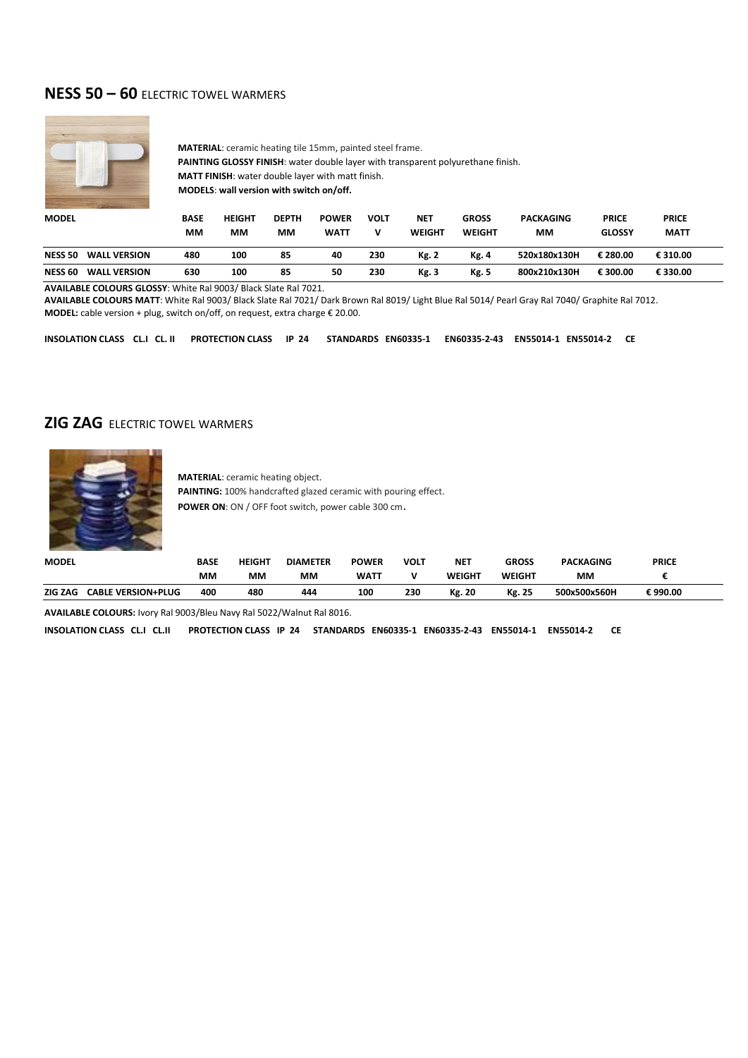### **NESS 50 – 60** ELECTRIC TOWEL WARMERS



**MATERIAL**: ceramic heating tile 15mm, painted steel frame. **PAINTING GLOSSY FINISH**: water double layer with transparent polyurethane finish. **MATT FINISH**: water double layer with matt finish. **MODELS**: **wall version with switch on/off.**

| <b>MODEL</b>   |                     | <b>BASE</b> | <b>HEIGHT</b> | <b>DEPTH</b> | <b>POWER</b> | VOLT | <b>NET</b>   | <b>GROSS</b>  | <b>PACKAGING</b> | <b>PRICE</b>  | <b>PRICE</b> |
|----------------|---------------------|-------------|---------------|--------------|--------------|------|--------------|---------------|------------------|---------------|--------------|
|                |                     | MМ          | ΜМ            | MМ           | <b>WATT</b>  | v    | WEIGHT       | <b>WEIGHT</b> | ΜМ               | <b>GLOSSY</b> | <b>MATT</b>  |
| <b>NESS 50</b> | <b>WALL VERSION</b> | 480         | 100           | 85           | 40           | 230  | <b>Kg. 2</b> | <b>Kg. 4</b>  | 520x180x130H     | € 280.00      | € 310.00     |
| <b>NESS 60</b> | <b>WALL VERSION</b> | 630         | 100           | 85           | 50           | 230  | Kg. 3        | <b>Kg. 5</b>  | 800x210x130H     | € 300.00      | € 330.00     |

**AVAILABLE COLOURS GLOSSY**: White Ral 9003/ Black Slate Ral 7021.

**AVAILABLE COLOURS MATT**: White Ral 9003/ Black Slate Ral 7021/ Dark Brown Ral 8019/ Light Blue Ral 5014/ Pearl Gray Ral 7040/ Graphite Ral 7012. **MODEL:** cable version + plug, switch on/off, on request, extra charge € 20.00.

**INSOLATION CLASS CL.I CL. II PROTECTION CLASS IP 24 STANDARDS EN60335-1 EN60335-2-43 EN55014-1 EN55014-2 CE**

#### **ZIG ZAG** FLECTRIC TOWEL WARMERS



**MATERIAL**: ceramic heating object. **PAINTING:** 100% handcrafted glazed ceramic with pouring effect. **POWER ON**: ON / OFF foot switch, power cable 300 cm.

| <b>MODEL</b> | BASE                             | <b>HEIGHT</b> | <b>DIAMETER</b> | <b>POWER</b> | <b>VOLT</b> | <b>NET</b>    | <b>GROSS</b> | <b>PACKAGING</b> | <b>PRICE</b> |  |
|--------------|----------------------------------|---------------|-----------------|--------------|-------------|---------------|--------------|------------------|--------------|--|
|              | мм                               | ΜМ            | мм              | <b>WATT</b>  |             | WEIGHT        | WEIGHT       | МM               |              |  |
| ZIG ZAG      | 400<br><b>CABLE VERSION+PLUG</b> | 480           | 444             | 100          | 230         | <b>Kg. 20</b> | Kg. 25       | 500x500x560H     | € 990.00     |  |

**AVAILABLE COLOURS:** Ivory Ral 9003/Bleu Navy Ral 5022/Walnut Ral 8016.

**INSOLATION CLASS CL.I CL.II PROTECTION CLASS IP 24 STANDARDS EN60335-1 EN60335-2-43 EN55014-1 EN55014-2 CE**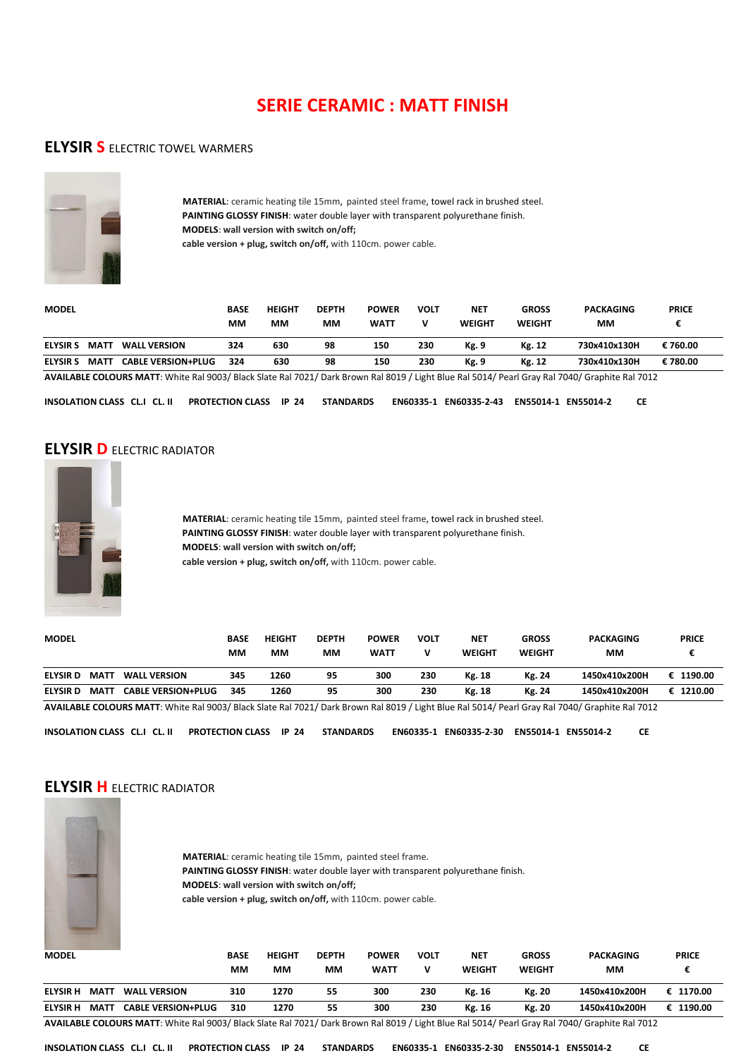# **SERIE CERAMIC : MATT FINISH**

#### **ELYSIR S** ELECTRIC TOWEL WARMERS



 **MATERIAL**: ceramic heating tile 15mm, painted steel frame, towel rack in brushed steel.  **PAINTING GLOSSY FINISH**: water double layer with transparent polyurethane finish.  **MODELS**: **wall version with switch on/off; cable version + plug, switch on/off,** with 110cm. power cable.

**MODEL BASE HEIGHT DEPTH POWER VOLT NET GROSS PACKAGING PRICE MM MM MM WATT V WEIGHT WEIGHT MM € ELYSIR S MATT WALL VERSION 324 630 98 150 230 Kg. 9 Kg. 12 730x410x130H € 760.00 ELYSIR S MATT CABLE VERSION+PLUG 324 630 98 150 230 Kg. 9 Kg. 12 730x410x130H € 780.00** 

**AVAILABLE COLOURS MATT**: White Ral 9003/ Black Slate Ral 7021/ Dark Brown Ral 8019 / Light Blue Ral 5014/ Pearl Gray Ral 7040/ Graphite Ral 7012

**INSOLATION CLASS CL.I CL. II PROTECTION CLASS IP 24 STANDARDS EN60335-1 EN60335-2-43 EN55014-1 EN55014-2 CE**

#### **ELYSIR D** ELECTRIC RADIATOR



 **MATERIAL**: ceramic heating tile 15mm, painted steel frame, towel rack in brushed steel.  **PAINTING GLOSSY FINISH**: water double layer with transparent polyurethane finish.  **MODELS**: **wall version with switch on/off; cable version + plug, switch on/off,** with 110cm. power cable.

|                |             |                           | BASE | <b>HEIGHT</b> | <b>DEPTH</b> | <b>POWER</b> | VOLT | <b>NET</b> | <b>GROSS</b> | <b>PACKAGING</b> | <b>PRICE</b> |
|----------------|-------------|---------------------------|------|---------------|--------------|--------------|------|------------|--------------|------------------|--------------|
|                |             |                           | MМ   | MМ            | MМ           | <b>WATT</b>  | v    | WEIGHT     | WEIGHT       | мм               |              |
| <b>ELYSIRD</b> | <b>MATT</b> | <b>WALL VERSION</b>       | 345  | 1260          | 95           | 300          | 230  | Kg. 18     | Kg. 24       | 1450x410x200H    | € 1190.00    |
| <b>ELYSIRD</b> | <b>MATT</b> | <b>CABLE VERSION+PLUG</b> | 345  | 1260          | 95           | 300          | 230  | Kg. 18     | Kg. 24       | 1450x410x200H    | € 1210.00    |

**AVAILABLE COLOURS MATT**: White Ral 9003/ Black Slate Ral 7021/ Dark Brown Ral 8019 / Light Blue Ral 5014/ Pearl Gray Ral 7040/ Graphite Ral 7012

**INSOLATION CLASS CL.I CL. II PROTECTION CLASS IP 24 STANDARDS EN60335-1 EN60335-2-30 EN55014-1 EN55014-2 CE** 

#### **ELYSIR H** FLECTRIC RADIATOR



 **MATERIAL**: ceramic heating tile 15mm, painted steel frame.  **PAINTING GLOSSY FINISH**: water double layer with transparent polyurethane finish.  **MODELS**: **wall version with switch on/off; cable version + plug, switch on/off,** with 110cm. power cable.

| <b>MODEL</b>    |             |                           | BASE<br>MМ | <b>HEIGHT</b><br>мм | <b>DEPTH</b><br>ΜМ | <b>POWER</b><br><b>WATT</b> | <b>VOLT</b> | <b>NET</b><br><b>WEIGHT</b> | <b>GROSS</b><br><b>WEIGHT</b> | <b>PACKAGING</b><br>MМ | <b>PRICE</b> |
|-----------------|-------------|---------------------------|------------|---------------------|--------------------|-----------------------------|-------------|-----------------------------|-------------------------------|------------------------|--------------|
| <b>ELYSIR H</b> | <b>MAT1</b> | <b>WALL VERSION</b>       | 310        | 1270                | 55                 | 300                         | 230         | Kg. 16                      | Kg. 20                        | 1450x410x200H          | € 1170.00    |
| <b>ELYSIR H</b> | MATT        | <b>CABLE VERSION+PLUG</b> | 310        | 1270                | 55                 | 300                         | 230         | Kg. 16                      | Kg. 20                        | 1450x410x200H          | 1190.00      |

**AVAILABLE COLOURS MATT**: White Ral 9003/ Black Slate Ral 7021/ Dark Brown Ral 8019 / Light Blue Ral 5014/ Pearl Gray Ral 7040/ Graphite Ral 7012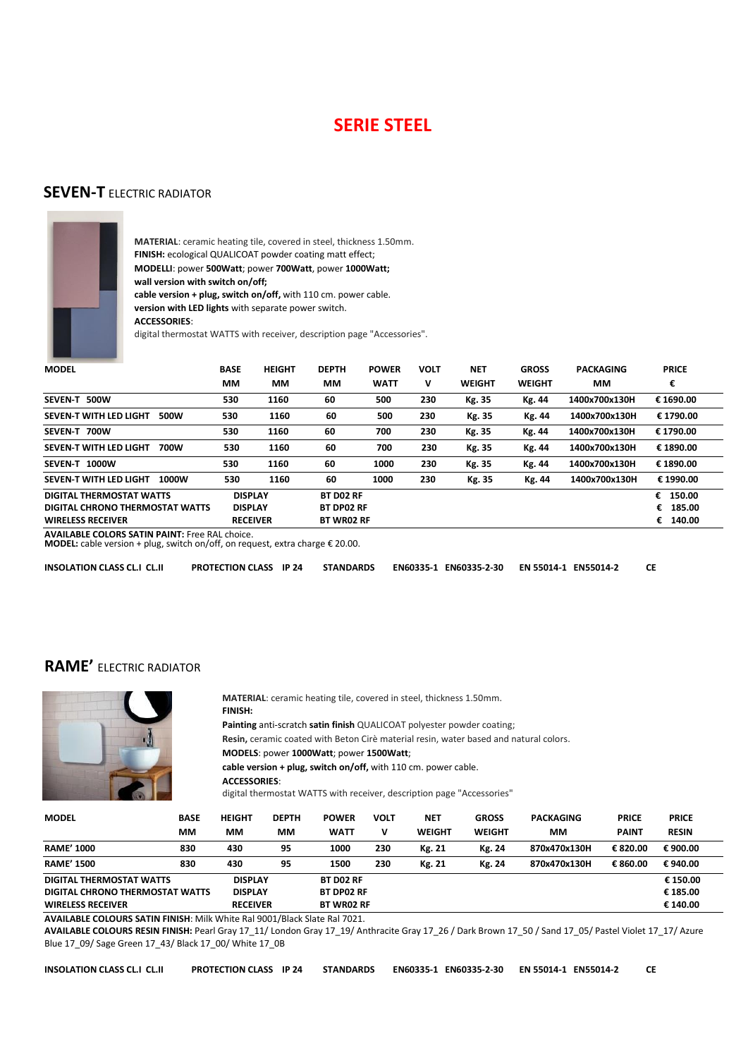# **SERIE STEEL**

#### **SEVEN-T** ELECTRIC RADIATOR



**MATERIAL**: ceramic heating tile, covered in steel, thickness 1.50mm. **FINISH:** ecological QUALICOAT powder coating matt effect; **MODELLI**: power **500Watt**; power **700Watt**, power **1000Watt; wall version with switch on/off; cable version + plug, switch on/off,** with 110 cm. power cable. **version with LED lights** with separate power switch. **ACCESSORIES**:

digital thermostat WATTS with receiver, description page "Accessories".

| <b>MODEL</b>                                                | <b>BASE</b> | <b>HEIGHT</b>                    | <b>DEPTH</b>                   | <b>POWER</b> | <b>VOLT</b> | <b>NET</b>    | <b>GROSS</b>  | <b>PACKAGING</b> | <b>PRICE</b>         |
|-------------------------------------------------------------|-------------|----------------------------------|--------------------------------|--------------|-------------|---------------|---------------|------------------|----------------------|
|                                                             | MМ          | MМ                               | MМ                             | <b>WATT</b>  | v           | <b>WEIGHT</b> | <b>WEIGHT</b> | MМ               | €                    |
| 500W<br><b>SEVEN T</b>                                      | 530         | 1160                             | 60                             | 500          | 230         | Kg. 35        | Kg. 44        | 1400x700x130H    | € 1690.00            |
| SEVEN-T WITH LED LIGHT<br>500W                              | 530         | 1160                             | 60                             | 500          | 230         | Kg. 35        | Kg. 44        | 1400x700x130H    | € 1790.00            |
| SEVEN-T 700W                                                | 530         | 1160                             | 60                             | 700          | 230         | Kg. 35        | Kg. 44        | 1400x700x130H    | € 1790.00            |
| SEVEN-T WITH LED LIGHT<br>700W                              | 530         | 1160                             | 60                             | 700          | 230         | Kg. 35        | Kg. 44        | 1400x700x130H    | € 1890.00            |
| SEVEN-T 1000W                                               | 530         | 1160                             | 60                             | 1000         | 230         | Kg. 35        | Kg. 44        | 1400x700x130H    | € 1890.00            |
| SEVEN-T WITH LED LIGHT<br>1000W                             | 530         | 1160                             | 60                             | 1000         | 230         | Kg. 35        | Kg. 44        | 1400x700x130H    | € 1990.00            |
| DIGITAL THERMOSTAT WATTS<br>DIGITAL CHRONO THERMOSTAT WATTS |             | <b>DISPLAY</b><br><b>DISPLAY</b> | BT DO2 RF<br><b>BT DP02 RF</b> |              |             |               |               |                  | € 150.00<br>€ 185.00 |
| <b>WIRELESS RECEIVER</b>                                    |             | <b>RECEIVER</b>                  | <b>BT WR02 RF</b>              |              |             |               |               |                  | 140.00<br>€          |
| AVAILARLE COLORS SATIN RAINT: Ergo RAL choice               |             |                                  |                                |              |             |               |               |                  |                      |

**AVAILABLE COLORS SATIN PAINT:** Free RAL choice. **MODEL:** cable version + plug, switch on/off, on request, extra charge € 20.00.

**INSOLATION CLASS CL.I CL.II PROTECTION CLASS IP 24 STANDARDS EN60335-1 EN60335-2-30 EN 55014-1 EN55014-2 CE**

### **RAME'** ELECTRIC RADIATOR



 **MATERIAL**: ceramic heating tile, covered in steel, thickness 1.50mm. **FINISH: Painting** anti-scratch **satin finish** QUALICOAT polyester powder coating; **Resin,** ceramic coated with Beton Cirè material resin, water based and natural colors.  **MODELS**: power **1000Watt**; power **1500Watt**;

**cable version + plug, switch on/off,** with 110 cm. power cable.

**ACCESSORIES**:

digital thermostat WATTS with receiver, description page "Accessories"

| <b>MODEL</b>                    | <b>BASE</b><br>MМ | <b>HEIGHT</b><br>MМ | <b>DEPTH</b><br>MМ | <b>POWER</b><br><b>WATT</b> | <b>VOLT</b><br>v | NET<br><b>WEIGHT</b> | <b>GROSS</b><br><b>WEIGHT</b> | <b>PACKAGING</b><br>ΜМ | <b>PRICE</b><br><b>PAINT</b> | <b>PRICE</b><br><b>RESIN</b> |
|---------------------------------|-------------------|---------------------|--------------------|-----------------------------|------------------|----------------------|-------------------------------|------------------------|------------------------------|------------------------------|
| <b>RAME' 1000</b>               | 830               | 430                 | 95                 | 1000                        | 230              | Kg. 21               | Kg. 24                        | 870x470x130H           | € 820.00                     | € 900.00                     |
| <b>RAME' 1500</b>               | 830               | 430                 | 95                 | 1500                        | 230              | Kg. 21               | Kg. 24                        | 870x470x130H           | € 860.00                     | € 940.00                     |
| DIGITAL THERMOSTAT WATTS        |                   | <b>DISPLAY</b>      |                    | <b>BT DO2 RF</b>            |                  |                      |                               |                        |                              | € 150.00                     |
| DIGITAL CHRONO THERMOSTAT WATTS |                   | <b>DISPLAY</b>      |                    | <b>BT DP02 RF</b>           |                  |                      |                               |                        |                              | € 185.00                     |
| <b>WIRELESS RECEIVER</b>        |                   | <b>RECEIVER</b>     |                    | <b>BT WR02 RF</b>           |                  |                      |                               |                        |                              | € 140.00                     |

**AVAILABLE COLOURS SATIN FINISH**: Milk White Ral 9001/Black Slate Ral 7021.

**AVAILABLE COLOURS RESIN FINISH:** Pearl Gray 17\_11/ London Gray 17\_19/ Anthracite Gray 17\_26 / Dark Brown 17\_50 / Sand 17\_05/ Pastel Violet 17\_17/ Azure Blue 17\_09/ Sage Green 17\_43/ Black 17\_00/ White 17\_0B

| INSOLATION CLASS CL.I CL.II | PROTECTION CLASS IP 24 STANDARDS EN60335-1 EN60335-2-30 EN 55014-1 EN55014-2 |  |  |  |  |  |  | <b>CE</b> |
|-----------------------------|------------------------------------------------------------------------------|--|--|--|--|--|--|-----------|
|-----------------------------|------------------------------------------------------------------------------|--|--|--|--|--|--|-----------|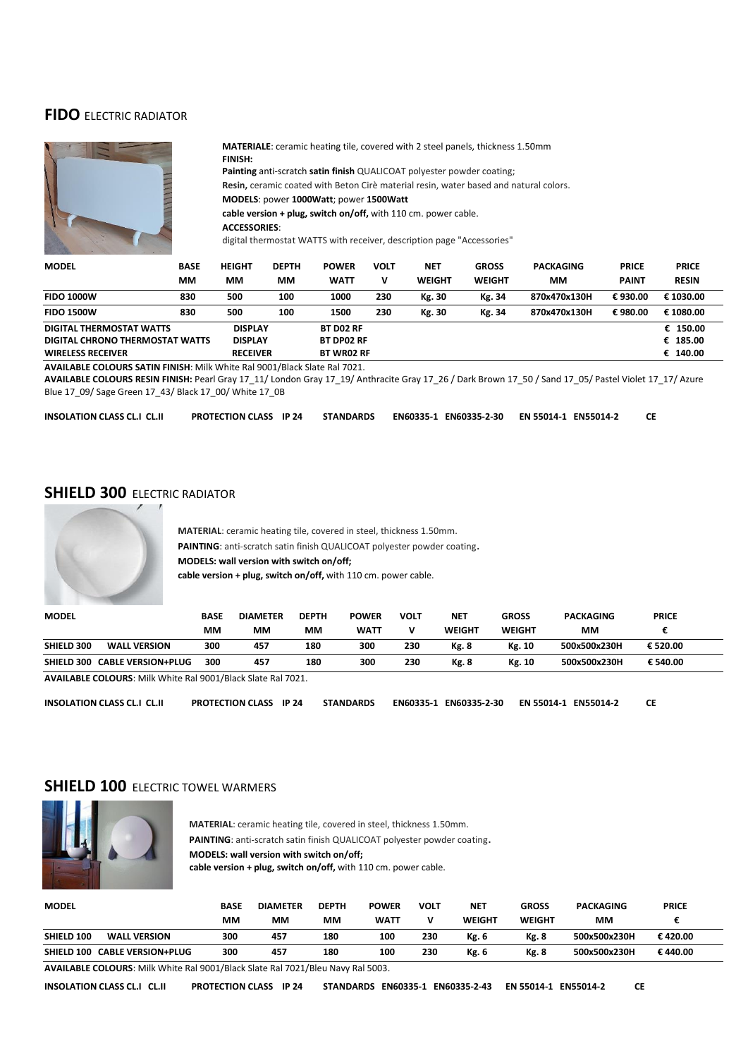#### **FIDO** ELECTRIC RADIATOR



**MATERIALE**: ceramic heating tile, covered with 2 steel panels, thickness 1.50mm **FINISH: Painting** anti-scratch **satin finish** QUALICOAT polyester powder coating; **Resin,** ceramic coated with Beton Cirè material resin, water based and natural colors.  **MODELS**: power **1000Watt**; power **1500Watt cable version + plug, switch on/off,** with 110 cm. power cable. **ACCESSORIES**:

digital thermostat WATTS with receiver, description page "Accessories"

| <b>MODEL</b>                                                            | <b>BASE</b> | <b>HEIGHT</b>   | <b>DEPTH</b> | <b>POWER</b>      | <b>VOLT</b> | <b>NET</b>    | <b>GROSS</b>  | <b>PACKAGING</b> | <b>PRICE</b> | <b>PRICE</b> |
|-------------------------------------------------------------------------|-------------|-----------------|--------------|-------------------|-------------|---------------|---------------|------------------|--------------|--------------|
|                                                                         | ΜМ          | ΜМ              | ΜМ           | <b>WATT</b>       | v           | <b>WEIGHT</b> | <b>WEIGHT</b> | MМ               | <b>PAINT</b> | <b>RESIN</b> |
| <b>FIDO 1000W</b>                                                       | 830         | 500             | 100          | 1000              | 230         | Kg. 30        | Kg. 34        | 870x470x130H     | €930.00      | € 1030.00    |
| <b>FIDO 1500W</b>                                                       | 830         | 500             | 100          | 1500              | 230         | Kg. 30        | Kg. 34        | 870x470x130H     | €980.00      | € 1080.00    |
| DIGITAL THERMOSTAT WATTS                                                |             | <b>DISPLAY</b>  |              | <b>BT DO2 RF</b>  |             |               |               |                  |              | € 150.00     |
| DIGITAL CHRONO THERMOSTAT WATTS                                         |             | <b>DISPLAY</b>  |              | <b>BT DP02 RF</b> |             |               |               |                  |              | € 185.00     |
| <b>WIRELESS RECEIVER</b>                                                |             | <b>RECEIVER</b> |              | <b>BT WR02 RF</b> |             |               |               |                  |              | € 140.00     |
| AVAILABLE COLOURC CATIN FINICIL AND MUSIC BULGOON (BL. J. CL.), BULGOON |             |                 |              |                   |             |               |               |                  |              |              |

**AVAILABLE COLOURS SATIN FINISH**: Milk White Ral 9001/Black Slate Ral 7021.

**AVAILABLE COLOURS RESIN FINISH:** Pearl Gray 17\_11/ London Gray 17\_19/ Anthracite Gray 17\_26 / Dark Brown 17\_50 / Sand 17\_05/ Pastel Violet 17\_17/ Azure Blue 17\_09/ Sage Green 17\_43/ Black 17\_00/ White 17\_0B

**INSOLATION CLASS CL.I CL.II PROTECTION CLASS IP 24 STANDARDS EN60335-1 EN60335-2-30 EN 55014-1 EN55014-2 CE**

# **SHIELD 300 ELECTRIC RADIATOR**



**MATERIAL**: ceramic heating tile, covered in steel, thickness 1.50mm. **PAINTING**: anti-scratch satin finish QUALICOAT polyester powder coating. **MODELS: wall version with switch on/off; cable version + plug, switch on/off,** with 110 cm. power cable.

| <b>MODEL</b> |                           | BASE | <b>DIAMETER</b> | <b>DEPTH</b> | <b>POWER</b> | VOLT | <b>NET</b>   | <b>GROSS</b> | <b>PACKAGING</b> | <b>PRICE</b> |  |
|--------------|---------------------------|------|-----------------|--------------|--------------|------|--------------|--------------|------------------|--------------|--|
|              |                           | мм   | мм              | MМ           | <b>WATT</b>  |      | WEIGHT       | WEIGHT       | мм               |              |  |
| SHIELD 300   | <b>WALL VERSION</b>       | 300  | 457             | 180          | 300          | 230  | <b>Kg. 8</b> | Kg. 10       | 500x500x230H     | € 520.00     |  |
| SHIELD 300   | <b>CABLE VERSION+PLUG</b> | 300  | 457             | 180          | 300          | 230  | <b>Kg. 8</b> | Kg. 10       | 500x500x230H     | € 540.00     |  |

**AVAILABLE COLOURS**: Milk White Ral 9001/Black Slate Ral 7021.

**INSOLATION CLASS CL.I CL.II PROTECTION CLASS IP 24 STANDARDS EN60335-1 EN60335-2-30 EN 55014-1 EN55014-2 CE**

#### **SHIELD 100 FLECTRIC TOWEL WARMERS**



 **MATERIAL**: ceramic heating tile, covered in steel, thickness 1.50mm. **PAINTING:** anti-scratch satin finish QUALICOAT polyester powder coating.  **MODELS: wall version with switch on/off; cable version + plug, switch on/off,** with 110 cm. power cable.

| <b>MODEL</b> |                                                                                                                                                                                                                                                                                                                                                                                                                                                                            | <b>BASE</b><br>MМ | <b>DIAMETER</b><br>MМ | <b>DEPTH</b><br>мм | <b>POWER</b><br><b>WATT</b> | VOLT<br>v | <b>NET</b><br><b>WEIGHT</b> | GROSS<br>WEIGHT | <b>PACKAGING</b><br>MМ | <b>PRICE</b> |
|--------------|----------------------------------------------------------------------------------------------------------------------------------------------------------------------------------------------------------------------------------------------------------------------------------------------------------------------------------------------------------------------------------------------------------------------------------------------------------------------------|-------------------|-----------------------|--------------------|-----------------------------|-----------|-----------------------------|-----------------|------------------------|--------------|
| SHIELD 100   | <b>WALL VERSION</b>                                                                                                                                                                                                                                                                                                                                                                                                                                                        | 300               | 457                   | 180                | 100                         | 230       | Kg. 6                       | <b>Kg. 8</b>    | 500x500x230H           | €420.00      |
|              | SHIELD 100 CABLE VERSION+PLUG                                                                                                                                                                                                                                                                                                                                                                                                                                              | 300               | 457                   | 180                | 100                         | 230       | Kg. 6                       | <b>Kg. 8</b>    | 500x500x230H           | € 440.00     |
|              | $\frac{1}{2} \left( \frac{1}{2} \right) \left( \frac{1}{2} \right) \left( \frac{1}{2} \right) \left( \frac{1}{2} \right) \left( \frac{1}{2} \right) \left( \frac{1}{2} \right) \left( \frac{1}{2} \right) \left( \frac{1}{2} \right) \left( \frac{1}{2} \right) \left( \frac{1}{2} \right) \left( \frac{1}{2} \right) \left( \frac{1}{2} \right) \left( \frac{1}{2} \right) \left( \frac{1}{2} \right) \left( \frac{1}{2} \right) \left( \frac{1}{2} \right) \left( \frac$ |                   |                       | $\sim$ $\sim$      | $-1$ $-222$                 |           |                             |                 |                        |              |

**AVAILABLE COLOURS**: Milk White Ral 9001/Black Slate Ral 7021/Bleu Navy Ral 5003.

**INSOLATION CLASS CL.I CL.II PROTECTION CLASS IP 24 STANDARDS EN60335-1 EN60335-2-43 EN 55014-1 EN55014-2 CE**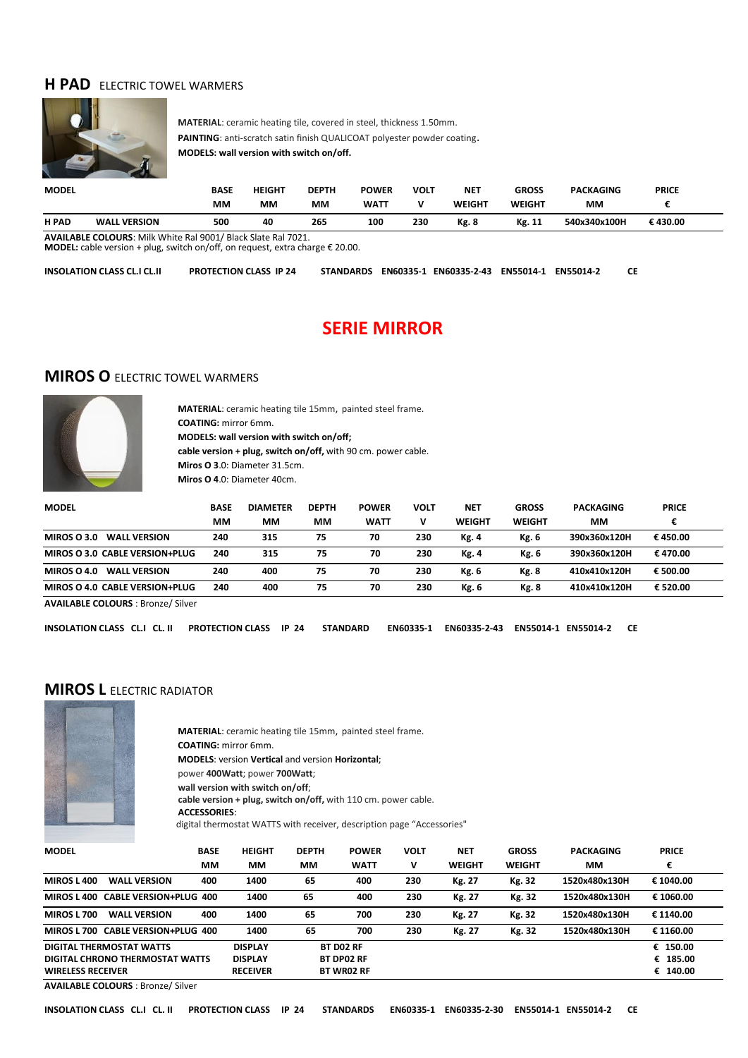#### **H PAD** FLECTRIC TOWEL WARMERS



**MATERIAL**: ceramic heating tile, covered in steel, thickness 1.50mm. **PAINTING**: anti-scratch satin finish QUALICOAT polyester powder coating. **MODELS: wall version with switch on/off.**

| <b>MODEL</b> |                     | <b>BASE</b> | <b>HEIGHT</b> | DEPTH | <b>POWER</b> | <b>VOLT</b> | <b>NET</b> | <b>GROSS</b> | <b>PACKAGING</b> | <b>PRICE</b> |  |
|--------------|---------------------|-------------|---------------|-------|--------------|-------------|------------|--------------|------------------|--------------|--|
|              |                     | МM          | мм            | мм    | WATT         |             | WEIGHT     | WEIGHT       | MМ               |              |  |
| <b>H PAD</b> | <b>WALL VERSION</b> | 500         | 40            | 265   | 100          | 230         | Kg. 8      | Kg. 11       | 540x340x100H     | €430.00      |  |
|              |                     |             |               |       |              |             |            |              |                  |              |  |

**AVAILABLE COLOURS**: Milk White Ral 9001/ Black Slate Ral 7021. **MODEL:** cable version + plug, switch on/off, on request, extra charge € 20.00.

| INSOLATION CLASS CL.I CL.II<br><b>PROTECTION CLASS IP 24</b><br>STANDARDS EN60335-1 EN60335-2-43 EN55014-1 EN55014-2 |  |  |  | <b>CE</b> |
|----------------------------------------------------------------------------------------------------------------------|--|--|--|-----------|
|----------------------------------------------------------------------------------------------------------------------|--|--|--|-----------|

# **SERIE MIRROR**

#### **MIROS O** ELECTRIC TOWEL WARMERS



**MATERIAL**: ceramic heating tile 15mm, painted steel frame. **COATING:** mirror 6mm. **MODELS: wall version with switch on/off; cable version + plug, switch on/off,** with 90 cm. power cable. **Miros O 3**.0: Diameter 31.5cm. **Miros O 4**.0: Diameter 40cm.

| <b>MODEL</b>                       | <b>BASE</b> | <b>DIAMETER</b> | <b>DEPTH</b> | <b>POWER</b> | <b>VOLT</b> | <b>NET</b> | <b>GROSS</b>  | <b>PACKAGING</b> | <b>PRICE</b> |  |
|------------------------------------|-------------|-----------------|--------------|--------------|-------------|------------|---------------|------------------|--------------|--|
|                                    | мм          | MМ              | MМ           | <b>WATT</b>  |             | WEIGHT     | <b>WEIGHT</b> | MМ               | €            |  |
| MIROS O 3.0<br><b>WALL VERSION</b> | 240         | 315             | 75           | 70           | 230         | Kg. 4      | Kg. 6         | 390x360x120H     | €450.00      |  |
| MIROS O 3.0 CABLE VERSION+PLUG     | 240         | 315             | 75           | 70           | 230         | Kg. 4      | Kg. 6         | 390x360x120H     | € 470.00     |  |
| MIROS O 4.0<br><b>WALL VERSION</b> | 240         | 400             | 75           | 70           | 230         | Kg. 6      | Kg. 8         | 410x410x120H     | € 500.00     |  |
| MIROS O 4.0 CABLE VERSION+PLUG     | 240         | 400             | 75           | 70           | 230         | Kg. 6      | <b>Kg. 8</b>  | 410x410x120H     | € 520.00     |  |

**AVAILABLE COLOURS** : Bronze/ Silver

| EN60335-1 EN60335-2-43 EN55014-1 EN55014-2 CE<br>INSOLATION CLASS CL.I CL. II PROTECTION CLASS IP 24 STANDARD |  |
|---------------------------------------------------------------------------------------------------------------|--|
|---------------------------------------------------------------------------------------------------------------|--|

### **MIROS L** ELECTRIC RADIATOR



**MATERIAL**: ceramic heating tile 15mm, painted steel frame. **COATING:** mirror 6mm. **MODELS**: version **Vertical** and version **Horizontal**; power **400Watt**; power **700Watt**; **wall version with switch on/off**; **cable version + plug, switch on/off,** with 110 cm. power cable.

**ACCESSORIES**:

digital thermostat WATTS with receiver, description page "Accessories"

| <b>MODEL</b>                              | <b>BASE</b>                   | <b>HEIGHT</b>   | <b>DEPTH</b> | <b>POWER</b>      | <b>VOLT</b> | <b>NET</b>    | <b>GROSS</b>  | <b>PACKAGING</b> | <b>PRICE</b> |  |
|-------------------------------------------|-------------------------------|-----------------|--------------|-------------------|-------------|---------------|---------------|------------------|--------------|--|
|                                           | MМ                            | MМ              | MМ           | <b>WATT</b>       | v           | <b>WEIGHT</b> | <b>WEIGHT</b> | ΜМ               | €            |  |
| MIROS L 400<br><b>WALL VERSION</b>        | 400                           | 1400            | 65           | 400               | 230         | Kg. 27        | Kg. 32        | 1520x480x130H    | € 1040.00    |  |
| <b>MIROS L 400</b>                        | <b>CABLE VERSION+PLUG 400</b> | 1400            | 65           | 400               | 230         | Kg. 27        | Kg. 32        | 1520x480x130H    | € 1060.00    |  |
| <b>WALL VERSION</b><br><b>MIROS L 700</b> | 400                           | 1400            | 65           | 700               | 230         | Kg. 27        | Kg. 32        | 1520x480x130H    | € 1140.00    |  |
| MIROS L 700 CABLE VERSION+PLUG 400        |                               | 1400            | 65           | 700               | 230         | Kg. 27        | Kg. 32        | 1520x480x130H    | € 1160.00    |  |
| DIGITAL THERMOSTAT WATTS                  |                               | <b>DISPLAY</b>  |              | BT DO2 RF         |             |               |               |                  | € 150.00     |  |
| DIGITAL CHRONO THERMOSTAT WATTS           |                               | <b>DISPLAY</b>  |              | <b>BT DP02 RF</b> |             |               |               |                  | € 185.00     |  |
| <b>WIRELESS RECEIVER</b>                  |                               | <b>RECEIVER</b> |              | <b>BT WR02 RF</b> |             |               |               |                  | € 140.00     |  |

**AVAILABLE COLOURS** : Bronze/ Silver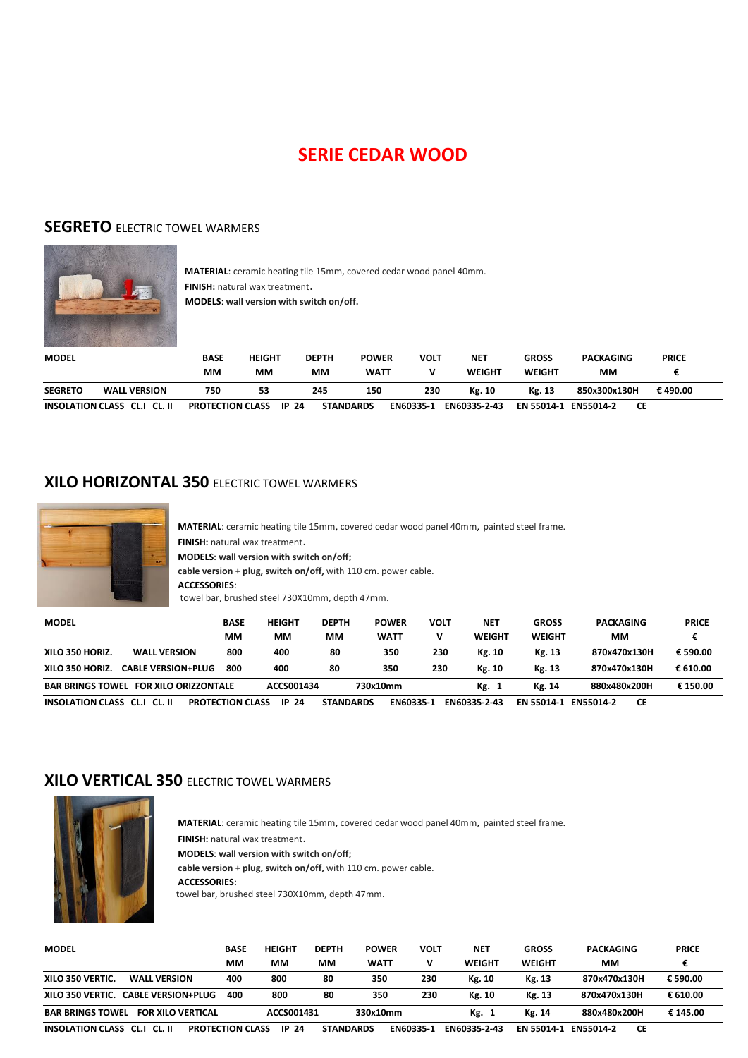# **SERIE CEDAR WOOD**

### **SEGRETO** ELECTRIC TOWEL WARMERS



 **MATERIAL**: ceramic heating tile 15mm, covered cedar wood panel 40mm.  **FINISH:** natural wax treatment.  **MODELS**: **wall version with switch on/off.**

| <b>MODEL</b>   |                              | BASE<br>MМ              | <b>HEIGHT</b><br>мм | <b>DEPTH</b><br>мм | <b>POWER</b><br><b>WATT</b> | VOLT      | <b>NET</b><br>WEIGHT | <b>GROSS</b><br><b>WEIGHT</b> | <b>PACKAGING</b><br>MМ | <b>PRICE</b> |  |
|----------------|------------------------------|-------------------------|---------------------|--------------------|-----------------------------|-----------|----------------------|-------------------------------|------------------------|--------------|--|
| <b>SEGRETO</b> | <b>WALL VERSION</b>          | 750                     | 53                  | 245                | 150                         | 230       | Kg. 10               | Kg. 13                        | 850x300x130H           | € 490.00     |  |
|                | INSOLATION CLASS CL.I CL. II | <b>PROTECTION CLASS</b> |                     | -24<br>IP          | <b>STANDARDS</b>            | EN60335-1 | EN60335-2-43         | EN 55014-1                    | <b>EN55014-2</b><br>СE |              |  |

# **XILO HORIZONTAL 350** ELECTRIC TOWEL WARMERS



**MATERIAL**: ceramic heating tile 15mm, covered cedar wood panel 40mm, painted steel frame. **FINISH:** natural wax treatment. **MODELS**: **wall version with switch on/off; cable version + plug, switch on/off,** with 110 cm. power cable. **ACCESSORIES**: towel bar, brushed steel 730X10mm, depth 47mm.

| <b>MODEL</b>                 |                             | <b>BASE</b>             | <b>HEIGHT</b> | <b>DEPTH</b>     | <b>POWER</b>     | VOLT | <b>NET</b>    | <b>GROSS</b>  | <b>PACKAGING</b>              | <b>PRICE</b> |
|------------------------------|-----------------------------|-------------------------|---------------|------------------|------------------|------|---------------|---------------|-------------------------------|--------------|
|                              |                             | мм                      | MМ            | MМ               | <b>WATT</b>      | v    | <b>WEIGHT</b> | <b>WEIGHT</b> | мм                            |              |
| XILO 350 HORIZ.              | <b>WALL VERSION</b>         | 800                     | 400           | 80               | 350              | 230  | Kg. 10        | Kg. 13        | 870x470x130H                  | € 590.00     |
| XILO 350 HORIZ.              | <b>CABLE VERSION+PLUG</b>   | 800                     | 400           | 80               | 350              | 230  | Kg. 10        | Kg. 13        | 870x470x130H                  | € 610.00     |
| <b>BAR BRINGS TOWEL</b>      | <b>FOR XILO ORIZZONTALE</b> |                         | ACCS001434    |                  | 730x10mm         |      | Kg.           | Kg. 14        | 880x480x200H                  | € 150.00     |
| INSOLATION CLASS CL.I CL. II |                             | <b>PROTECTION CLASS</b> | 24<br>IP.     | <b>STANDARDS</b> | <b>EN60335-1</b> |      | EN60335-2-43  | EN 55014-1    | <b>FN55014-2</b><br><b>CE</b> |              |

# **XILO VERTICAL 350** ELECTRIC TOWEL WARMERS



**MATERIAL**: ceramic heating tile 15mm, covered cedar wood panel 40mm, painted steel frame. **FINISH:** natural wax treatment. **MODELS**: **wall version with switch on/off; cable version + plug, switch on/off,** with 110 cm. power cable. **ACCESSORIES**: towel bar, brushed steel 730X10mm, depth 47mm.

| <b>MODEL</b>                                        | <b>BASE</b>             | <b>HEIGHT</b> | <b>DEPTH</b>     | <b>POWER</b> | VOLT | <b>NET</b>    | <b>GROSS</b>  | <b>PACKAGING</b>       | <b>PRICE</b> |
|-----------------------------------------------------|-------------------------|---------------|------------------|--------------|------|---------------|---------------|------------------------|--------------|
|                                                     | MМ                      | мм            | ΜМ               | <b>WATT</b>  | v    | <b>WEIGHT</b> | <b>WEIGHT</b> | MМ                     |              |
| XILO 350 VERTIC.<br><b>WALL VERSION</b>             | 400                     | 800           | 80               | 350          | 230  | Kg. 10        | Kg. 13        | 870x470x130H           | € 590.00     |
| XILO 350 VERTIC.<br><b>CABLE VERSION+PLUG</b>       | 400                     | 800           | 80               | 350          | 230  | Kg. 10        | Kg. 13        | 870x470x130H           | € 610.00     |
| <b>BAR BRINGS TOWEL</b><br><b>FOR XILO VERTICAL</b> |                         | ACCS001431    |                  | 330x10mm     |      | Kg. 1         | Kg. 14        | 880x480x200H           | € 145.00     |
| INSOLATION CLASS CL.I CL. II                        | <b>PROTECTION CLASS</b> | IP 24         | <b>STANDARDS</b> | EN60335-1    |      | EN60335-2-43  | EN 55014-1    | <b>FN55014-2</b><br>СE |              |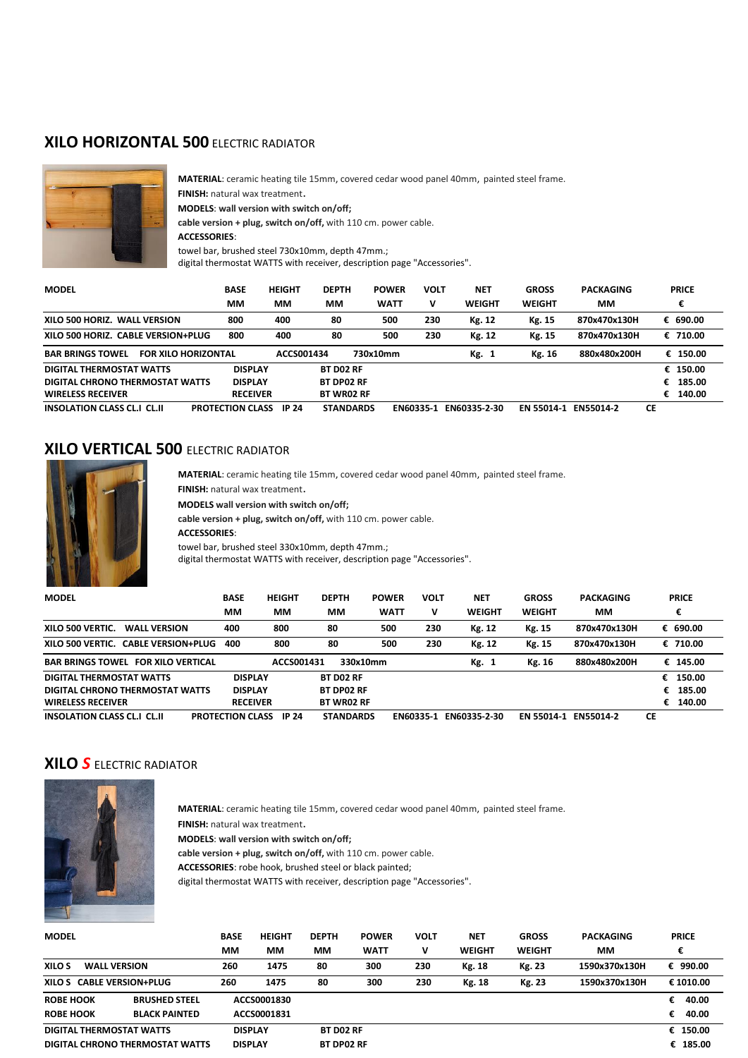### **XILO HORIZONTAL 500** ELECTRIC RADIATOR



**MATERIAL**: ceramic heating tile 15mm, covered cedar wood panel 40mm, painted steel frame. **FINISH:** natural wax treatment. **MODELS**: **wall version with switch on/off; cable version + plug, switch on/off,** with 110 cm. power cable. **ACCESSORIES**: towel bar, brushed steel 730x10mm, depth 47mm.; digital thermostat WATTS with receiver, description page "Accessories".

| <b>MODEL</b>                                          | <b>BASE</b>             | <b>HEIGHT</b> | <b>DEPTH</b>      | <b>POWER</b> | <b>VOLT</b>      | <b>NET</b>    | <b>GROSS</b>  | <b>PACKAGING</b> |    | <b>PRICE</b> |
|-------------------------------------------------------|-------------------------|---------------|-------------------|--------------|------------------|---------------|---------------|------------------|----|--------------|
|                                                       | MМ                      | MМ            | MМ                | <b>WATT</b>  | v                | <b>WEIGHT</b> | <b>WEIGHT</b> | MМ               |    | €            |
| XILO 500 HORIZ. WALL VERSION                          | 800                     | 400           | 80                | 500          | 230              | Kg. 12        | Kg. 15        | 870x470x130H     |    | € 690.00     |
| XILO 500 HORIZ.<br><b>CABLE VERSION+PLUG</b>          | 800                     | 400           | 80                | 500          | 230              | Kg. 12        | Kg. 15        | 870x470x130H     |    | € 710.00     |
| <b>BAR BRINGS TOWEL</b><br><b>FOR XILO HORIZONTAL</b> |                         | ACCS001434    |                   | 730x10mm     |                  | Kg. 1         | Kg. 16        | 880x480x200H     |    | € 150.00     |
| DIGITAL THERMOSTAT WATTS                              | <b>DISPLAY</b>          |               | <b>BT DO2 RF</b>  |              |                  |               |               |                  |    | € 150.00     |
| DIGITAL CHRONO THERMOSTAT WATTS                       | <b>DISPLAY</b>          |               | <b>BT DP02 RF</b> |              |                  |               |               |                  |    | 185.00       |
| <b>WIRELESS RECEIVER</b>                              | <b>RECEIVER</b>         |               | <b>BT WR02 RF</b> |              |                  |               |               |                  | €  | 140.00       |
| <b>INSOLATION CLASS CL.I CL.II</b>                    | <b>PROTECTION CLASS</b> | IP 24         | <b>STANDARDS</b>  |              | <b>FN60335-1</b> | EN60335-2-30  | EN 55014-1    | <b>FN55014-2</b> | СE |              |

# **XILO VERTICAL 500** ELECTRIC RADIATOR



**MATERIAL**: ceramic heating tile 15mm, covered cedar wood panel 40mm, painted steel frame.

**FINISH:** natural wax treatment.

**MODELS wall version with switch on/off;**

**cable version + plug, switch on/off,** with 110 cm. power cable.

**ACCESSORIES**:

towel bar, brushed steel 330x10mm, depth 47mm.;

digital thermostat WATTS with receiver, description page "Accessories".

| <b>MODEL</b>                                  | <b>BASE</b>             | <b>HEIGHT</b> | <b>DEPTH</b>      | <b>VOLT</b><br><b>POWER</b> | <b>NET</b>    | <b>GROSS</b>  | <b>PACKAGING</b> |    | <b>PRICE</b> |
|-----------------------------------------------|-------------------------|---------------|-------------------|-----------------------------|---------------|---------------|------------------|----|--------------|
|                                               | MМ                      | MМ            | MМ                | <b>WATT</b><br>v            | <b>WEIGHT</b> | <b>WEIGHT</b> | MМ               |    | €            |
| <b>WALL VERSION</b><br>XILO 500 VERTIC.       | 400                     | 800           | 80                | 230<br>500                  | Kg. 12        | Kg. 15        | 870x470x130H     |    | € 690.00     |
| <b>CABLE VERSION+PLUG</b><br>XILO 500 VERTIC. | 400                     | 800           | 80                | 230<br>500                  | Kg. 12        | Kg. 15        | 870x470x130H     |    | € 710.00     |
| <b>BAR BRINGS TOWEL FOR XILO VERTICAL</b>     |                         | ACCS001431    | 330x10mm          |                             | Kg. 1         | Kg. 16        | 880x480x200H     |    | € 145.00     |
| DIGITAL THERMOSTAT WATTS                      | <b>DISPLAY</b>          |               | <b>BT DO2 RF</b>  |                             |               |               |                  | €  | 150.00       |
| DIGITAL CHRONO THERMOSTAT WATTS               | <b>DISPLAY</b>          |               | <b>BT DP02 RF</b> |                             |               |               |                  |    | 185.00<br>€  |
| <b>WIRELESS RECEIVER</b>                      | <b>RECEIVER</b>         |               | <b>BT WR02 RF</b> |                             |               |               |                  | €  | 140.00       |
| <b>INSOLATION CLASS CL.I CL.II</b>            | <b>PROTECTION CLASS</b> | IP 24         | <b>STANDARDS</b>  | EN60335-1                   | EN60335-2-30  | EN 55014-1    | EN55014-2        | СE |              |

## **XILO** *S* ELECTRIC RADIATOR



**MATERIAL**: ceramic heating tile 15mm, covered cedar wood panel 40mm, painted steel frame.

**FINISH:** natural wax treatment.

**MODELS**: **wall version with switch on/off;**

**cable version + plug, switch on/off,** with 110 cm. power cable.

**ACCESSORIES**: robe hook, brushed steel or black painted;

digital thermostat WATTS with receiver, description page "Accessories".

| <b>MODEL</b>                             | <b>BASE</b>    | <b>HEIGHT</b>  | <b>DEPTH</b>      | <b>POWER</b> | <b>VOLT</b> | <b>NET</b>    | <b>GROSS</b>  | <b>PACKAGING</b> | <b>PRICE</b> |
|------------------------------------------|----------------|----------------|-------------------|--------------|-------------|---------------|---------------|------------------|--------------|
|                                          | MМ             | ΜМ             | МM                | <b>WATT</b>  | v           | <b>WEIGHT</b> | <b>WEIGHT</b> | MМ               | €            |
| XILO S<br><b>WALL VERSION</b>            | 260            | 1475           | 80                | 300          | 230         | Kg. 18        | Kg. 23        | 1590x370x130H    | € 990.00     |
| XILO S CABLE VERSION+PLUG                | 260            | 1475           | 80                | 300          | 230         | Kg. 18        | Kg. 23        | 1590x370x130H    | € 1010.00    |
| <b>ROBE HOOK</b><br><b>BRUSHED STEEL</b> |                | ACCS0001830    |                   |              |             |               |               |                  | 40.00<br>€   |
| <b>ROBE HOOK</b><br><b>BLACK PAINTED</b> |                | ACCS0001831    |                   |              |             |               |               |                  | 40.00<br>€   |
| DIGITAL THERMOSTAT WATTS                 |                | <b>DISPLAY</b> | <b>BT DO2 RF</b>  |              |             |               |               |                  | € 150.00     |
| DIGITAL CHRONO THERMOSTAT WATTS          | <b>DISPLAY</b> |                | <b>BT DP02 RF</b> |              |             |               |               |                  | € 185.00     |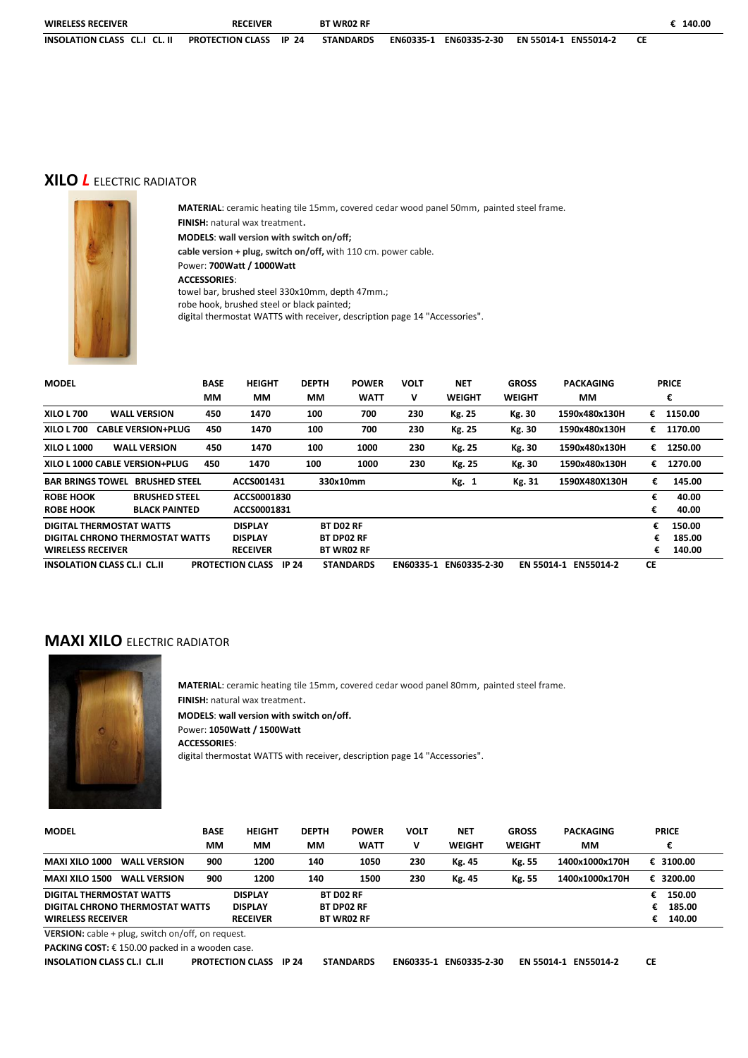| <b>WIRELESS RECEIVER</b>     | <b>RECEIVER</b>        | <b>BT WR02 RF</b> |                           |                      | 140.00 |
|------------------------------|------------------------|-------------------|---------------------------|----------------------|--------|
| INSOLATION CLASS CL.I CL. II | PROTECTION CLASS IP 24 | <b>STANDARDS</b>  | EN60335-1<br>EN60335-2-30 | EN 55014-1 EN55014-2 |        |

### **XILO** *L* ELECTRIC RADIATOR



**MATERIAL**: ceramic heating tile 15mm, covered cedar wood panel 50mm, painted steel frame. **FINISH:** natural wax treatment. **MODELS**: **wall version with switch on/off; cable version + plug, switch on/off,** with 110 cm. power cable. Power: **700Watt / 1000Watt ACCESSORIES**: towel bar, brushed steel 330x10mm, depth 47mm.; robe hook, brushed steel or black painted; digital thermostat WATTS with receiver, description page 14 "Accessories".

| <b>MODEL</b>                       |                                 | <b>BASE</b> | <b>HEIGHT</b>                           | <b>DEPTH</b> | <b>POWER</b>      | <b>VOLT</b> | <b>NET</b>    | <b>GROSS</b>  | <b>PACKAGING</b> |    | <b>PRICE</b> |
|------------------------------------|---------------------------------|-------------|-----------------------------------------|--------------|-------------------|-------------|---------------|---------------|------------------|----|--------------|
|                                    |                                 | MМ          | MМ                                      | MМ           | <b>WATT</b>       | v           | WEIGHT        | <b>WEIGHT</b> | MМ               |    | €            |
| <b>XILO L 700</b>                  | <b>WALL VERSION</b>             | 450         | 1470                                    | 100          | 700               | 230         | Kg. 25        | Kg. 30        | 1590x480x130H    | €  | 1150.00      |
| XILO L 700                         | <b>CABLE VERSION+PLUG</b>       | 450         | 1470                                    | 100          | 700               | 230         | <b>Kg. 25</b> | Kg. 30        | 1590x480x130H    | €  | 1170.00      |
| XILO L 1000                        | <b>WALL VERSION</b>             | 450         | 1470                                    | 100          | 1000              | 230         | Kg. 25        | Kg. 30        | 1590x480x130H    | €  | 1250.00      |
|                                    | XILO L 1000 CABLE VERSION+PLUG  | 450         | 1470                                    | 100          | 1000              | 230         | Kg. 25        | Kg. 30        | 1590x480x130H    | €  | 1270.00      |
| <b>BAR BRINGS TOWEL</b>            | <b>BRUSHED STEEL</b>            |             | ACCS001431                              |              | 330x10mm          |             | Kg. 1         | Kg. 31        | 1590X480X130H    | €  | 145.00       |
| <b>ROBE HOOK</b>                   | <b>BRUSHED STEEL</b>            |             | ACCS0001830                             |              |                   |             |               |               |                  | €  | 40.00        |
| <b>ROBE HOOK</b>                   | <b>BLACK PAINTED</b>            |             | ACCS0001831                             |              |                   |             |               |               |                  | €  | 40.00        |
|                                    | DIGITAL THERMOSTAT WATTS        |             | <b>DISPLAY</b>                          |              | <b>BT DO2 RF</b>  |             |               |               |                  | €  | 150.00       |
|                                    | DIGITAL CHRONO THERMOSTAT WATTS |             | <b>DISPLAY</b>                          |              | <b>BT DP02 RF</b> |             |               |               |                  | €  | 185.00       |
| <b>WIRELESS RECEIVER</b>           |                                 |             | <b>RECEIVER</b>                         |              | <b>BT WRO2 RF</b> |             |               |               |                  |    | 140.00       |
| <b>INSOLATION CLASS CL.I CL.II</b> |                                 |             | <b>PROTECTION CLASS</b><br><b>IP 24</b> |              | <b>STANDARDS</b>  | EN60335-1   | EN60335-2-30  | EN 55014-1    | <b>EN55014-2</b> | СE |              |

### **MAXI XILO** ELECTRIC RADIATOR



**MATERIAL**: ceramic heating tile 15mm, covered cedar wood panel 80mm, painted steel frame. **FINISH:** natural wax treatment. **MODELS**: **wall version with switch on/off.** Power: **1050Watt / 1500Watt ACCESSORIES**: digital thermostat WATTS with receiver, description page 14 "Accessories".

| <b>MODEL</b>                                 | <b>BASE</b><br>MМ | <b>HEIGHT</b><br>MМ | <b>DEPTH</b><br>MМ | <b>POWER</b><br><b>WATT</b> | <b>VOLT</b><br>v | <b>NET</b><br><b>WEIGHT</b> | <b>GROSS</b><br><b>WEIGHT</b> | <b>PACKAGING</b><br>MМ | <b>PRICE</b> |
|----------------------------------------------|-------------------|---------------------|--------------------|-----------------------------|------------------|-----------------------------|-------------------------------|------------------------|--------------|
|                                              |                   |                     |                    |                             |                  |                             |                               |                        |              |
| <b>MAXI XILO 1000</b><br><b>WALL VERSION</b> | 900               | 1200                | 140                | 1050                        | 230              | Kg. 45                      | Kg. 55                        | 1400x1000x170H         | € 3100.00    |
| <b>MAXI XILO 1500</b><br><b>WALL VERSION</b> | 900               | 1200                | 140                | 1500                        | 230              | Kg. 45                      | Kg. 55                        | 1400x1000x170H         | € 3200.00    |
| DIGITAL THERMOSTAT WATTS                     |                   | <b>DISPLAY</b>      |                    | <b>BT DO2 RF</b>            |                  |                             |                               |                        | 150.00       |
| DIGITAL CHRONO THERMOSTAT WATTS              |                   | <b>DISPLAY</b>      |                    | <b>BT DP02 RF</b>           |                  |                             |                               |                        | 185.00<br>€  |
| <b>WIRELESS RECEIVER</b>                     |                   | <b>RECEIVER</b>     |                    | <b>BT WR02 RF</b>           |                  |                             |                               |                        | 140.00       |

**VERSION:** cable + plug, switch on/off, on request.

**PACKING COST: € 150.00 packed in a wooden case.**<br>INSOLATION CLASS CL.I CL.II PROTECTION CI **PROTECTION CLASS IP 24 STANDARDS EN60335-1 EN60335-2-30 EN 55014-1 EN55014-2 CE**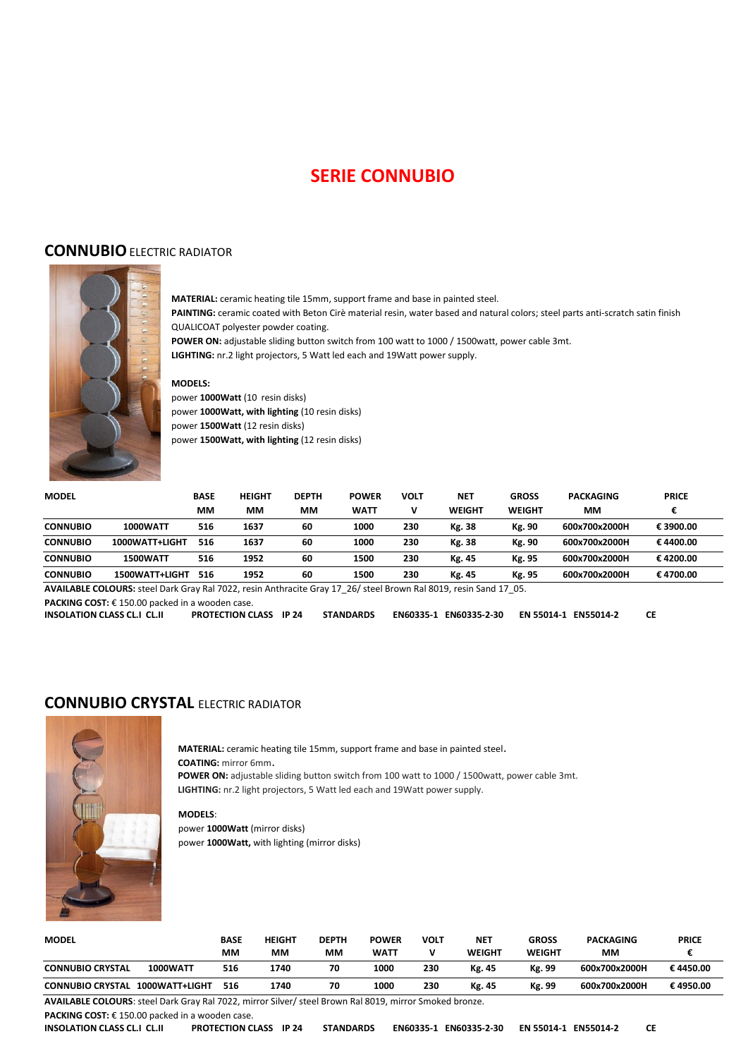# **SERIE CONNUBIO**

#### **CONNUBIO** ELECTRIC RADIATOR



**MATERIAL:** ceramic heating tile 15mm, support frame and base in painted steel. **PAINTING:** ceramic coated with Beton Cirè material resin, water based and natural colors; steel parts anti-scratch satin finish QUALICOAT polyester powder coating.

**POWER ON:** adjustable sliding button switch from 100 watt to 1000 / 1500watt, power cable 3mt. **LIGHTING:** nr.2 light projectors, 5 Watt led each and 19Watt power supply.

#### **MODELS:**

power **1000Watt** (10 resin disks) power **1000Watt, with lighting** (10 resin disks) power **1500Watt** (12 resin disks) power **1500Watt, with lighting** (12 resin disks)

| <b>MODEL</b>    |                 | <b>BASE</b> | <b>HEIGHT</b> | <b>DEPTH</b> | <b>POWER</b> | VOLT | <b>NET</b>    | <b>GROSS</b>  | <b>PACKAGING</b> | <b>PRICE</b> |  |
|-----------------|-----------------|-------------|---------------|--------------|--------------|------|---------------|---------------|------------------|--------------|--|
|                 |                 | MМ          | ΜМ            | MМ           | <b>WATT</b>  |      | <b>WEIGHT</b> | <b>WEIGHT</b> | MМ               |              |  |
| <b>CONNUBIO</b> | <b>1000WATT</b> | 516         | 1637          | 60           | 1000         | 230  | Kg. 38        | Kg. 90        | 600x700x2000H    | €3900.00     |  |
| <b>CONNUBIO</b> | 1000WATT+LIGHT  | 516         | 1637          | 60           | 1000         | 230  | Kg. 38        | Kg. 90        | 600x700x2000H    | €4400.00     |  |
| <b>CONNUBIO</b> | <b>1500WATT</b> | 516         | 1952          | 60           | 1500         | 230  | Kg. 45        | Kg. 95        | 600x700x2000H    | €4200.00     |  |
| <b>CONNUBIO</b> | 1500WATT+LIGHT  | 516         | 1952          | 60           | 1500         | 230  | Kg. 45        | Kg. 95        | 600x700x2000H    | €4700.00     |  |

**AVAILABLE COLOURS:** steel Dark Gray Ral 7022, resin Anthracite Gray 17\_26/ steel Brown Ral 8019, resin Sand 17\_05.

**PACKING COST:** € 150.00 packed in a wooden case.

| <b>INSOLATION CLASS CL.I CL.II</b> | <b>PROTECTION CLASS IP 24</b> | <b>STANDARDS</b> | EN60335-1 EN60335-2-30 EN 55014-1 EN55014-2 |  |
|------------------------------------|-------------------------------|------------------|---------------------------------------------|--|
|                                    |                               |                  |                                             |  |

#### **CONNUBIO CRYSTAL** ELECTRIC RADIATOR



**MATERIAL:** ceramic heating tile 15mm, support frame and base in painted steel. **COATING:** mirror 6mm. **POWER ON:** adjustable sliding button switch from 100 watt to 1000 / 1500watt, power cable 3mt. **LIGHTING:** nr.2 light projectors, 5 Watt led each and 19Watt power supply.

**MODELS**: power **1000Watt** (mirror disks) power **1000Watt,** with lighting (mirror disks)

| <b>MODEL</b>                               | <b>BASE</b><br>MМ | <b>HEIGHT</b><br>MМ | <b>DEPTH</b><br>MМ | <b>POWER</b><br><b>WATT</b> | <b>VOLT</b> | <b>NET</b><br>WEIGHT | <b>GROSS</b><br><b>WEIGHT</b> | <b>PACKAGING</b><br>MМ | <b>PRICE</b> |
|--------------------------------------------|-------------------|---------------------|--------------------|-----------------------------|-------------|----------------------|-------------------------------|------------------------|--------------|
| <b>1000WATT</b><br><b>CONNUBIO CRYSTAL</b> | 516               | 1740                | 70                 | 1000                        | 230         | Kg. 45               | Kg. 99                        | 600x700x2000H          | €4450.00     |
| 1000WATT+LIGHT<br><b>CONNUBIO CRYSTAL</b>  | 516               | 1740                | 70                 | 1000                        | 230         | Kg. 45               | Kg. 99                        | 600x700x2000H          | €4950.00     |

**AVAILABLE COLOURS**: steel Dark Gray Ral 7022, mirror Silver/ steel Brown Ral 8019, mirror Smoked bronze.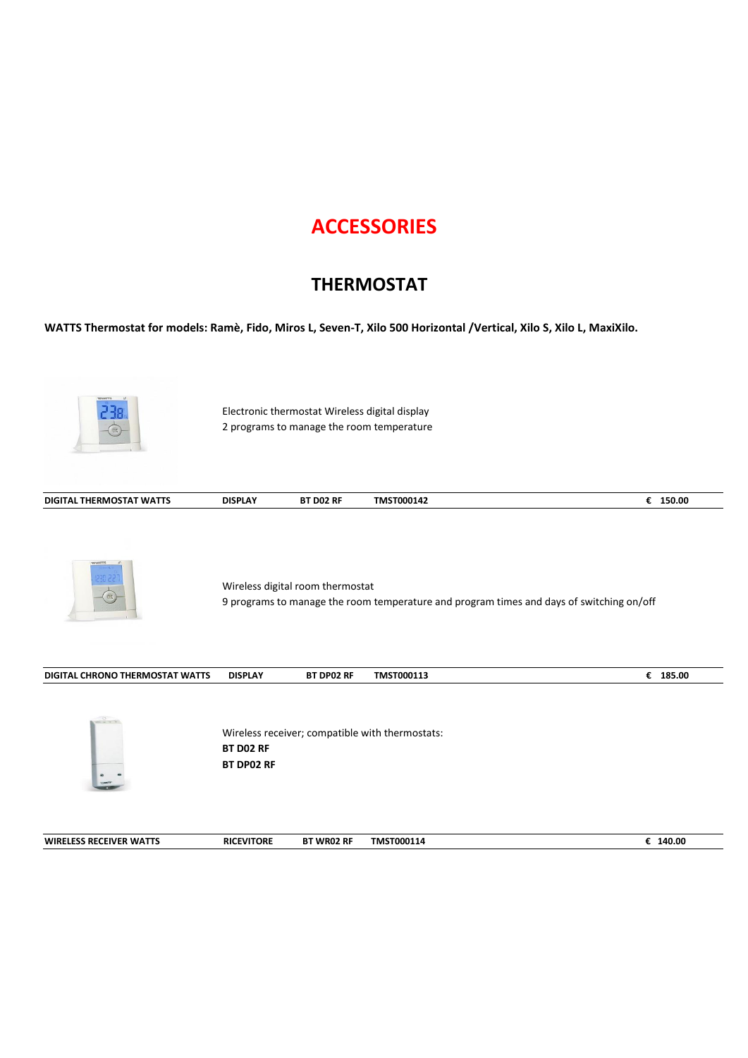# **ACCESSORIES**

# **THERMOSTAT**

**WATTS Thermostat for models: Ramè, Fido, Miros L, Seven-T, Xilo 500 Horizontal /Vertical, Xilo S, Xilo L, MaxiXilo.**

|                                        | Electronic thermostat Wireless digital display<br>2 programs to manage the room temperature |                   |                                                                                          |          |
|----------------------------------------|---------------------------------------------------------------------------------------------|-------------------|------------------------------------------------------------------------------------------|----------|
| DIGITAL THERMOSTAT WATTS               | <b>DISPLAY</b>                                                                              | BT D02 RF         | TMST000142                                                                               | € 150.00 |
|                                        | Wireless digital room thermostat                                                            |                   | 9 programs to manage the room temperature and program times and days of switching on/off |          |
| <b>DIGITAL CHRONO THERMOSTAT WATTS</b> | <b>DISPLAY</b>                                                                              | BT DP02 RF        | TMST000113                                                                               | € 185.00 |
|                                        | BT DO2 RF<br><b>BT DP02 RF</b>                                                              |                   | Wireless receiver; compatible with thermostats:                                          |          |
| <b>WIRELESS RECEIVER WATTS</b>         | <b>RICEVITORE</b>                                                                           | <b>BT WR02 RF</b> | TMST000114                                                                               | € 140.00 |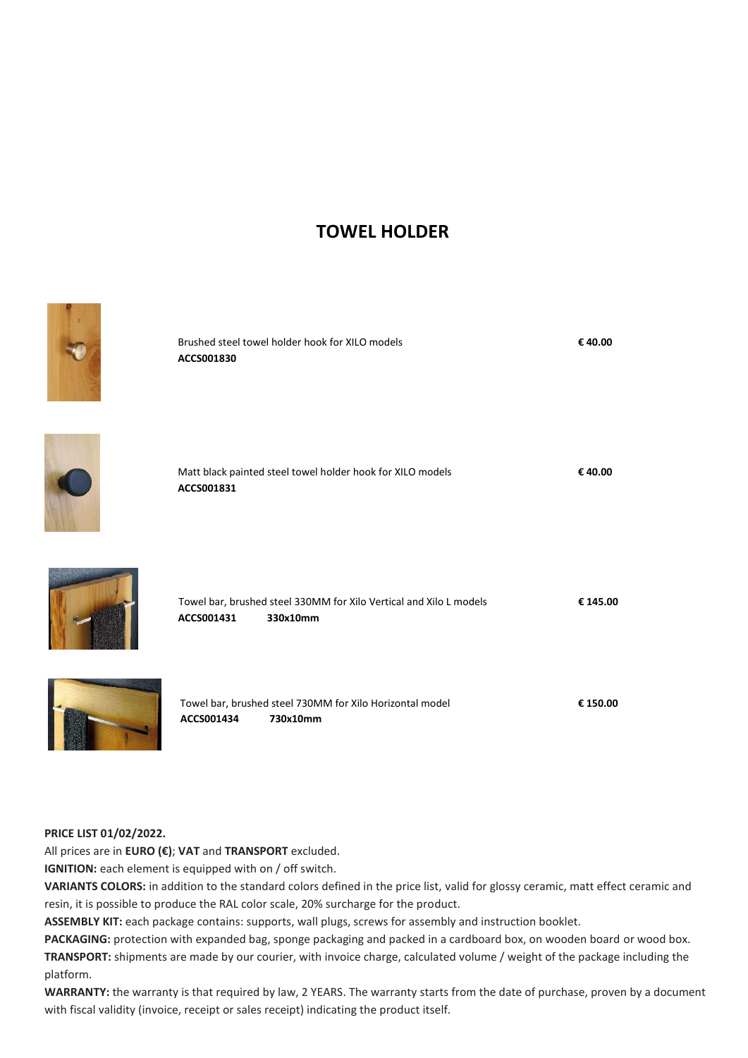# **TOWEL HOLDER**



#### **PRICE LIST 01/02/2022.**

All prices are in **EURO (€)**; **VAT** and **TRANSPORT** excluded.

**IGNITION:** each element is equipped with on / off switch.

**VARIANTS COLORS:** in addition to the standard colors defined in the price list, valid for glossy ceramic, matt effect ceramic and resin, it is possible to produce the RAL color scale, 20% surcharge for the product.

**ASSEMBLY KIT:** each package contains: supports, wall plugs, screws for assembly and instruction booklet.

**PACKAGING:** protection with expanded bag, sponge packaging and packed in a cardboard box, on wooden board or wood box. **TRANSPORT:** shipments are made by our courier, with invoice charge, calculated volume / weight of the package including the platform.

**WARRANTY:** the warranty is that required by law, 2 YEARS. The warranty starts from the date of purchase, proven by a document with fiscal validity (invoice, receipt or sales receipt) indicating the product itself.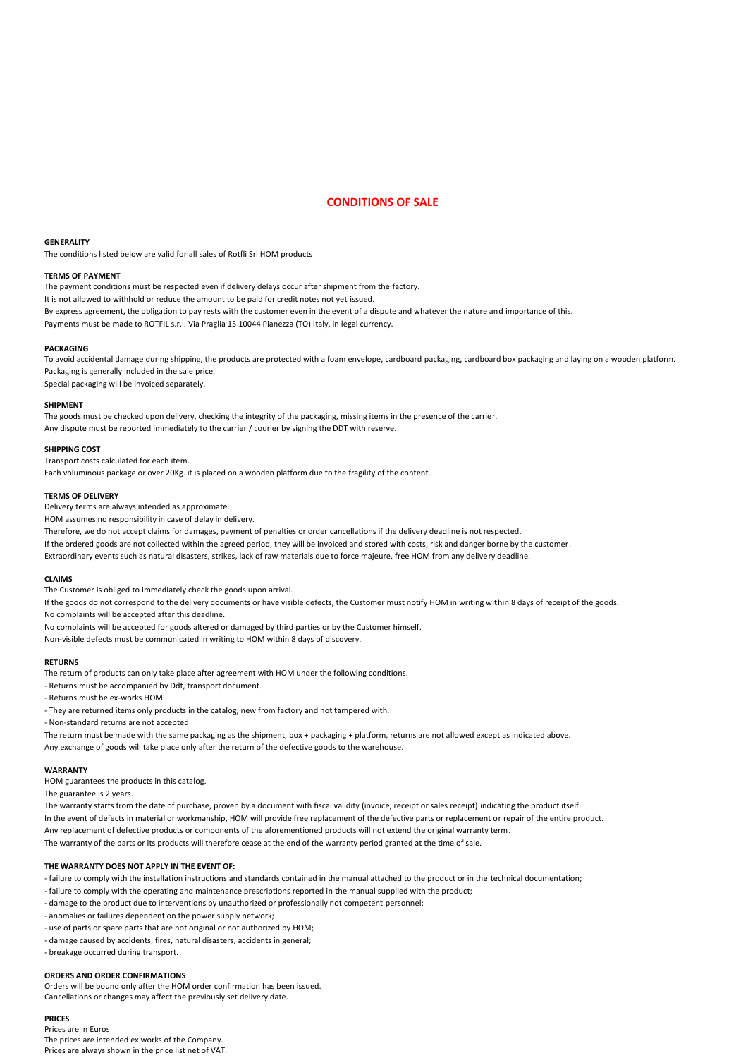#### **CONDITIONS OF SALE**

#### **GENERALITY**

The conditions listed below are valid for all sales of Rotfli Srl HOM products

#### **TERMS OF PAYMENT**

The payment conditions must be respected even if delivery delays occur after shipment from the factory. It is not allowed to withhold or reduce the amount to be paid for credit notes not yet issued. By express agreement, the obligation to pay rests with the customer even in the event of a dispute and whatever the nature and importance of this. Payments must be made to ROTFIL s.r.l. Via Praglia 15 10044 Pianezza (TO) Italy, in legal currency.

#### **PACKAGING**

To avoid accidental damage during shipping, the products are protected with a foam envelope, cardboard packaging, cardboard box packaging and laying on a wooden platform. Packaging is generally included in the sale price.

Special packaging will be invoiced separately.

#### **SHIPMENT**

The goods must be checked upon delivery, checking the integrity of the packaging, missing items in the presence of the carrier. Any dispute must be reported immediately to the carrier / courier by signing the DDT with reserve.

#### **SHIPPING COST**

Transport costs calculated for each item.

Each voluminous package or over 20Kg. it is placed on a wooden platform due to the fragility of the content.

#### **TERMS OF DELIVERY**

Delivery terms are always intended as approximate.

HOM assumes no responsibility in case of delay in delivery.

Therefore, we do not accept claims for damages, payment of penalties or order cancellations if the delivery deadline is not respected.

If the ordered goods are not collected within the agreed period, they will be invoiced and stored with costs, risk and danger borne by the customer.

Extraordinary events such as natural disasters, strikes, lack of raw materials due to force majeure, free HOM from any delivery deadline.

#### **CLAIMS**

The Customer is obliged to immediately check the goods upon arrival.

If the goods do not correspond to the delivery documents or have visible defects, the Customer must notify HOM in writing within 8 days of receipt of the goods.

No complaints will be accepted after this deadline.

No complaints will be accepted for goods altered or damaged by third parties or by the Customer himself.

Non-visible defects must be communicated in writing to HOM within 8 days of discovery.

#### **RETURNS**

The return of products can only take place after agreement with HOM under the following conditions.

- Returns must be accompanied by Ddt, transport document
- Returns must be ex-works HOM
- They are returned items only products in the catalog, new from factory and not tampered with.

- Non-standard returns are not accepted

The return must be made with the same packaging as the shipment, box + packaging + platform, returns are not allowed except as indicated above.

Any exchange of goods will take place only after the return of the defective goods to the warehouse.

#### **WARRANTY**

HOM guarantees the products in this catalog.

The guarantee is 2 years.

The warranty starts from the date of purchase, proven by a document with fiscal validity (invoice, receipt or sales receipt) indicating the product itself. In the event of defects in material or workmanship, HOM will provide free replacement of the defective parts or replacement or repair of the entire product. Any replacement of defective products or components of the aforementioned products will not extend the original warranty term. The warranty of the parts or its products will therefore cease at the end of the warranty period granted at the time of sale.

#### **THE WARRANTY DOES NOT APPLY IN THE EVENT OF:**

- failure to comply with the installation instructions and standards contained in the manual attached to the product or in the technical documentation;

- failure to comply with the operating and maintenance prescriptions reported in the manual supplied with the product;
- damage to the product due to interventions by unauthorized or professionally not competent personnel;
- anomalies or failures dependent on the power supply network;
- use of parts or spare parts that are not original or not authorized by HOM;
- damage caused by accidents, fires, natural disasters, accidents in general;

- breakage occurred during transport.

#### **ORDERS AND ORDER CONFIRMATIONS**

Orders will be bound only after the HOM order confirmation has been issued. Cancellations or changes may affect the previously set delivery date.

#### **PRICES**

Prices are in Euros The prices are intended ex works of the Company. Prices are always shown in the price list net of VAT.